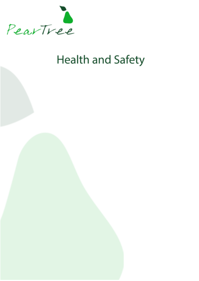

# **Health and Safety**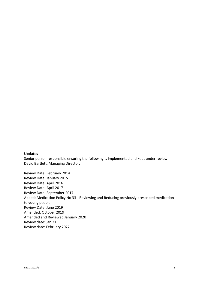### **Updates**

Senior person responsible ensuring the following is implemented and kept under review: David Bartlett, Managing Director.

Review Date: February 2014 Review Date: January 2015 Review Date: April 2016 Review Date: April 2017 Review Date: September 2017 Added: Medication Policy No 33 - Reviewing and Reducing previously prescribed medication to young people. Review Date: June 2019 Amended: October 2019 Amended and Reviewed January 2020 Review date: Jan 21 Review date: February 2022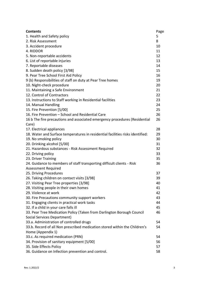| <b>Contents</b>                                                                | Page |
|--------------------------------------------------------------------------------|------|
| 1. Health and Safety policy                                                    | 5    |
| 2. Risk Assessment                                                             | 8    |
| 3. Accident procedure                                                          | 10   |
| 4. RIDDOR                                                                      | 11   |
| 5. Non-reportable accidents                                                    | 12   |
| 6. List of reportable injuries                                                 | 13   |
| 7. Reportable diseases                                                         | 14   |
| 8. Sudden death policy [3/98]                                                  | 15   |
| 9. Pear Tree School First Aid Policy                                           | 16   |
| 9 (b) Responsibilities of staff on duty at Pear Tree homes                     | 19   |
| 10. Night-check procedure                                                      | 20   |
| 11. Maintaining a Safe Environment                                             | 21   |
| 12. Control of Contractors                                                     | 22   |
| 13. Instructions to Staff working in Residential facilities                    | 23   |
| 14. Manual Handling                                                            | 24   |
| 15. Fire Prevention [5/00]                                                     | 25   |
| 16. Fire Prevention - School and Residential Care                              | 26   |
| 16 b The fire precautions and associated emergency procedures (Residential     | 26   |
| Care)                                                                          |      |
| 17. Electrical appliances                                                      | 28   |
| 18. Water and Surface temperatures in residential facilities risks identified: | 29   |
| 19. No smoking policy                                                          | 30   |
| 20. Drinking alcohol [5/00]                                                    | 31   |
| 21. Hazardous substances - Risk Assessment Required                            | 32   |
| 22. Driving policy                                                             | 33   |
| 23. Driver Training                                                            | 35   |
| 24. Guidance to members of staff transporting difficult clients - Risk         | 36   |
| <b>Assessment Required</b>                                                     |      |
| 25. Driving Procedures                                                         | 37   |
| 26. Taking children on contact visits [3/98]                                   | 39   |
| 27. Visiting Pear Tree properties [3/98]                                       | 40   |
| 28. Visiting people in their own homes                                         | 41   |
| 29. Violence at work                                                           | 42   |
| 30. Fire Precautions community support workers                                 | 43   |
| 31. Engaging clients in practical work tasks                                   | 44   |
| 32. If a child in your care falls ill                                          | 45   |
| 33. Pear Tree Medication Policy (Taken from Darlington Borough Council         | 46   |
| Social Services Department)                                                    |      |
| 33.a. Administration of controlled drugs                                       | 54   |
| 33.b. Record of all Non prescribed medication stored within the Children's     | 54   |
| Home (Appendix 1)                                                              |      |
| 33.c. As required medication (PRN)                                             | 54   |
| 34. Provision of sanitary equipment [5/00]                                     | 56   |
| 35. Side Effects Policy                                                        | 57   |
| 36. Guidance on Infection prevention and control.                              | 58   |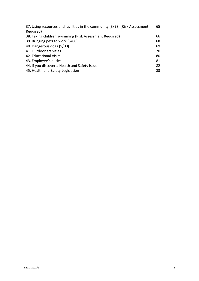| 37. Using resources and facilities in the community [3/98] (Risk Assessment<br>Required) | 65 |
|------------------------------------------------------------------------------------------|----|
| 38. Taking children swimming (Risk Assessment Required)                                  | 66 |
| 39. Bringing pets to work [5/00]                                                         | 68 |
| 40. Dangerous dogs [5/00]                                                                | 69 |
| 41. Outdoor activities                                                                   | 70 |
| 42. Educational Visits                                                                   | 80 |
| 43. Employee's duties                                                                    | 81 |
| 44. If you discover a Health and Safety Issue                                            | 82 |
| 45. Health and Safety Legislation                                                        | 83 |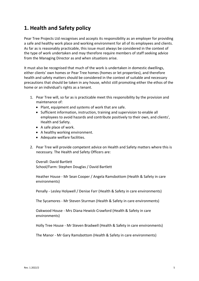# **1. Health and Safety policy**

Pear Tree Projects Ltd recognises and accepts its responsibility as an employer for providing a safe and healthy work place and working environment for all of its employees and clients. As far as is reasonably practicable, this issue must always be considered in the context of the type of work undertaken and may therefore require members of staff seeking advice from the Managing Director as and when situations arise.

It must also be recognised that much of the work is undertaken in domestic dwellings, either clients' own homes or Pear Tree homes (homes or let properties), and therefore health and safety matters should be considered in the context of suitable and necessary precautions that should be taken in any house, whilst still promoting either the ethos of the home or an individual's rights as a tenant.

- 1. Pear Tree will, so far as is practicable meet this responsibility by the provision and maintenance of:
	- Plant, equipment and systems of work that are safe.
	- Sufficient information, instruction, training and supervision to enable all employees to avoid hazards and contribute positively to their own, and clients', Health and Safety.
	- A safe place of work.
	- A healthy working environment.
	- Adequate welfare facilities.
- 2. Pear Tree will provide competent advice on Health and Safety matters where this is necessary. The Health and Safety Officers are:

Overall: David Bartlett School/Farm: Stephen Douglas / David Bartlett

Heather House - Mr Sean Cooper / Angela Ramsbottom (Health & Safety in care environments)

Penally - Lesley Holywell / Denise Farr (Health & Safety in care environments)

The Sycamores - Mr Steven Sturman (Health & Safety in care environments)

Oakwood House - Mrs Diana Hewick-Crawford (Health & Safety in care environments)

Holly Tree House - Mr Steven Bradwell (Health & Safety in care environments)

The Manor - Mr Gary Ramsbottom (Health & Safety in care environments)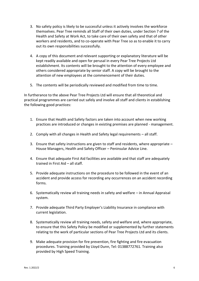- 3. No safety policy is likely to be successful unless it actively involves the workforce themselves. Pear Tree reminds all Staff of their own duties, under Section 7 of the Health and Safety at Work Act, to take care of their own safety and that of other workers and residents, and to co-operate with Pear Tree so as to enable it to carry out its own responsibilities successfully.
- 4. A copy of this document and relevant supporting or explanatory literature will be kept readily available and open for perusal in every Pear Tree Projects Ltd establishment. Its contents will be brought to the attention of every employee and others considered appropriate by senior staff. A copy will be brought to the attention of new employees at the commencement of their duties.
- 5. The contents will be periodically reviewed and modified from time to time.

In furtherance to the above Pear Tree Projects Ltd will ensure that all theoretical and practical programmes are carried out safely and involve all staff and clients in establishing the following good practices:

- 1. Ensure that Health and Safety factors are taken into account when new working practices are introduced or changes in existing premises are planned - management.
- 2. Comply with all changes in Health and Safety legal requirements all staff.
- 3. Ensure that safety instructions are given to staff and residents, where appropriate House Managers, Health and Safety Officer – Peninsular Advice Line.
- 4. Ensure that adequate First Aid facilities are available and that staff are adequately trained in First Aid – all staff.
- 5. Provide adequate instructions on the procedure to be followed in the event of an accident and provide access for recording any occurrences on an accident recording forms.
- 6. Systematically review all training needs in safety and welfare in Annual Appraisal system.
- 7. Provide adequate Third Party Employer's Liability Insurance in compliance with current legislation.
- 8. Systematically review all training needs, safety and welfare and, where appropriate, to ensure that this Safety Policy be modified or supplemented by further statements relating to the work of particular sections of Pear Tree Projects Ltd and its clients.
- 9. Make adequate provision for fire prevention, fire fighting and fire evacuation procedures. Training provided by Lloyd Dunn, Tel: 01388772761. Training also provided by High Speed Training.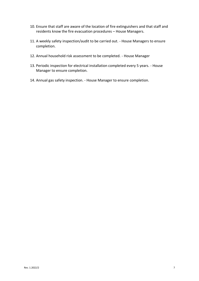- 10. Ensure that staff are aware of the location of fire extinguishers and that staff and residents know the fire evacuation procedures – House Managers.
- 11. A weekly safety inspection/audit to be carried out. House Managers to ensure completion.
- 12. Annual household risk assessment to be completed. House Manager
- 13. Periodic inspection for electrical installation completed every 5 years. House Manager to ensure completion.
- 14. Annual gas safety inspection. House Manager to ensure completion.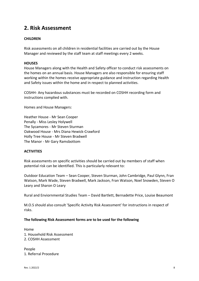### **2. Risk Assessment**

### **CHILDREN**

Risk assessments on all children in residential facilities are carried out by the House Manager and reviewed by the staff team at staff meetings every 2 weeks.

#### **HOUSES**

House Managers along with the Health and Safety officer to conduct risk assessments on the homes on an annual basis. House Managers are also responsible for ensuring staff working within the homes receive appropriate guidance and instruction regarding Health and Safety issues within the home and in respect to planned activities.

COSHH- Any hazardous substances must be recorded on COSHH recording form and instructions complied with.

Homes and House Managers:

Heather House - Mr Sean Cooper Penally - Miss Lesley Holywell The Sycamores - Mr Steven Sturman Oakwood House - Mrs Diana Hewick-Crawford Holly Tree House - Mr Steven Bradwell The Manor - Mr Gary Ramsbottom

#### **ACTIVITIES**

Risk assessments on specific activities should be carried out by members of staff when potential risk can be identified. This is particularly relevant to:

Outdoor Education Team – Sean Cooper, Steven Sturman, John Cambridge, Paul Glynn, Fran Watson, Mark Wade, Steven Bradwell, Mark Jackson, Fran Watson, Noel Snowden, Steven O Leary and Sharon O Leary

Rural and Enviornmental Studies Team – David Bartlett, Bernadette Price, Louise Beaumont

M.O.S should also consult 'Specific Activity Risk Assessment' for instructions in respect of risks.

#### **The following Risk Assessment forms are to be used for the following**

Home 1. Household Risk Assessment 2. COSHH Assessment

People 1. Referral Procedure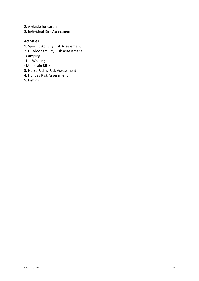- 2. A Guide for carers
- 3. Individual Risk Assessment

### Activities

- 1. Specific Activity Risk Assessment
- 2. Outdoor activity Risk Assessment
- · Camping
- · Hill Walking
- · Mountain Bikes
- 3. Horse Riding Risk Assessment
- 4. Holiday Risk Assessment
- 5. Fishing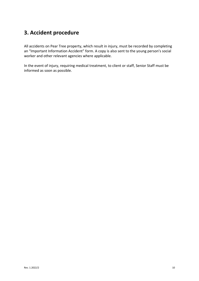### **3. Accident procedure**

All accidents on Pear Tree property, which result in injury, must be recorded by completing an "Important Information Accident" form. A copy is also sent to the young person's social worker and other relevant agencies where applicable.

In the event of injury, requiring medical treatment, to client or staff, Senior Staff must be informed as soon as possible.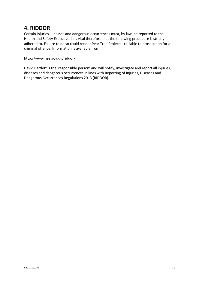### **4. RIDDOR**

Certain injuries, illnesses and dangerous occurrences must, by law, be reported to the Health and Safety Executive. It is vital therefore that the following procedure is strictly adhered to. Failure to do so could render Pear Tree Projects Ltd liable to prosecution for a criminal offence. Information is available from:

http://www.hse.gov.uk/riddor/

David Bartlett is the 'responsible person' and will notify, investigate and report all injuries, diseases and dangerous occurrences in lines with Reporting of Injuries, Diseases and Dangerous Occurrences Regulations 2013 (RIDDOR).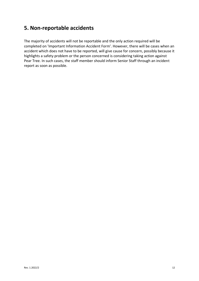### **5. Non-reportable accidents**

The majority of accidents will not be reportable and the only action required will be completed on 'Important Information Accident Form'. However, there will be cases when an accident which does not have to be reported, will give cause for concern, possibly because it highlights a safety problem or the person concerned is considering taking action against Pear Tree. In such cases, the staff member should inform Senior Staff through an incident report as soon as possible.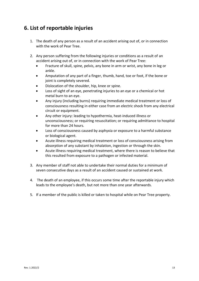### **6. List of reportable injuries**

- 1. The death of any person as a result of an accident arising out of, or in connection with the work of Pear Tree.
- 2. Any person suffering from the following injuries or conditions as a result of an accident arising out of, or in connection with the work of Pear Tree:
	- Fracture of skull, spine, pelvis, any bone in arm or wrist, any bone in leg or ankle.
	- Amputation of any part of a finger, thumb, hand, toe or foot, if the bone or joint is completely severed.
	- Dislocation of the shoulder, hip, knee or spine.
	- Loss of sight of an eye, penetrating injuries to an eye or a chemical or hot metal burn to an eye.
	- Any injury (including burns) requiring immediate medical treatment or loss of consciousness resulting in either case from an electric shock from any electrical circuit or equipment.
	- Any other injury: leading to hypothermia, heat-induced illness or unconsciousness; or requiring resuscitation; or requiring admittance to hospital for more than 24 hours.
	- Loss of consciousness caused by asphyxia or exposure to a harmful substance or biological agent.
	- Acute illness requiring medical treatment or loss of consciousness arising from absorption of any substant by inhalation, ingestion or through the skin.
	- Acute illness requiring medical treatment, where there is reason to believe that this resulted from exposure to a pathogen or infected material.
- 3. Any member of staff not able to undertake their normal duties for a minimum of seven consecutive days as a result of an accident caused or sustained at work.
- 4. The death of an employee, if this occurs some time after the reportable injury which leads to the employee's death, but not more than one year afterwards.
- 5. If a member of the public is killed or taken to hospital while on Pear Tree property.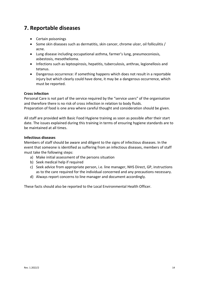### **7. Reportable diseases**

- Certain poisonings
- Some skin diseases such as dermatitis, skin cancer, chrome ulcer, oil folliculitis / acne.
- Lung disease including occupational asthma, farmer's lung, pneumoconiosis, asbestosis, mesothelioma.
- Infections such as leptospirosis, hepatitis, tuberculosis, anthrax, legionellosis and tetanus.
- Dangerous occurrence: if something happens which does not result in a reportable injury but which clearly could have done, it may be a dangerous occurrence, which must be reported.

#### **Cross infection**

Personal Care is not part of the service required by the "service users" of the organisation and therefore there is no risk of cross infection in relation to body fluids. Preparation of food is one area where careful thought and consideration should be given.

All staff are provided with Basic Food Hygiene training as soon as possible after their start date. The issues explained during this training in terms of ensuring hygiene standards are to be maintained at all times.

### **Infectious diseases**

Members of staff should be aware and diligent to the signs of infectious diseases. In the event that someone is identified as suffering from an infectious diseases, members of staff must take the following steps:

- a) Make initial assessment of the persons situation
- b) Seek medical help if required
- c) Seek advice from appropriate person, i.e. line manager, NHS Direct, GP, instructions as to the care required for the individual concerned and any precautions necessary.
- d) Always report concerns to line manager and document accordingly.

These facts should also be reported to the Local Environmental Health Officer.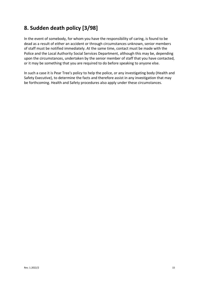# **8. Sudden death policy [3/98]**

In the event of somebody, for whom you have the responsibility of caring, is found to be dead as a result of either an accident or through circumstances unknown, senior members of staff must be notified immediately. At the same time, contact must be made with the Police and the Local Authority Social Services Department, although this may be, depending upon the circumstances, undertaken by the senior member of staff that you have contacted, or it may be something that you are required to do before speaking to anyone else.

In such a case it is Pear Tree's policy to help the police, or any investigating body (Health and Safety Executive), to determine the facts and therefore assist in any investigation that may be forthcoming. Health and Safety procedures also apply under these circumstances.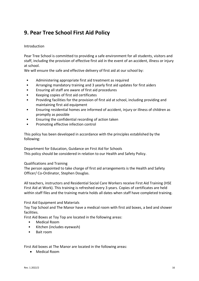# **9. Pear Tree School First Aid Policy**

### Introduction

Pear Tree School is committed to providing a safe environment for all students, visitors and staff, including the provision of effective first aid in the event of an accident, illness or injury at school.

We will ensure the safe and effective delivery of first aid at our school by:

- Administering appropriate first aid treatment as required
- Arranging mandatory training and 3 yearly first aid updates for first aiders
- Ensuring all staff are aware of first aid procedures
- Keeping copies of first aid certificates
- Providing facilities for the provision of first aid at school, including providing and maintaining first aid equipment
- Ensuring residential homes are informed of accident, injury or illness of children as promptly as possible
- Ensuring the confidential recording of action taken
- Promoting effective infection control

This policy has been developed in accordance with the principles established by the following:

Department for Education, Guidance on First Aid for Schools This policy should be considered in relation to our Health and Safety Policy.

#### Qualifications and Training

The person appointed to take charge of first aid arrangements is the Health and Safety Officer/ Co-Ordinator, Stephen Douglas.

All teachers, instructors and Residential Social Care Workers receive First Aid Training (HSE First Aid at Work). This training is refreshed every 3 years. Copies of certificates are held within staff files and the training matrix holds all dates when staff have completed training.

#### First Aid Equipment and Materials

Toy Top School and The Manor have a medical room with first aid boxes, a bed and shower facilities.

First Aid Boxes at Toy Top are located in the following areas:

- Medical Room
- Kitchen (includes eyewash)
- Bait room

First Aid boxes at The Manor are located in the following areas:

• Medical Room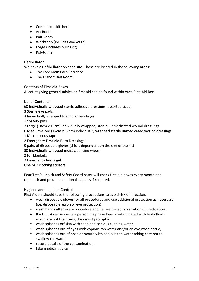- Commercial kitchen
- Art Room
- Bait Room
- Workshop (includes eye wash)
- Forge (includes burns kit)
- Polytunnel

### Defibrillator

We have a Defibrillator on each site. These are located in the following areas:

- Toy Top: Main Barn Entrance
- The Manor: Bait Room

Contents of First Aid Boxes

A leaflet giving general advice on first aid can be found within each First Aid Box.

List of Contents:

60 Individually wrapped sterile adhesive dressings (assorted sizes).

- 3 Sterile eye pads.
- 3 Individually wrapped triangular bandages.

12 Safety pins.

2 Large (18cm x 18cm) individually wrapped, sterile, unmedicated wound dressings

- 6 Medium-sized (12cm x 12cm) individually wrapped sterile unmedicated wound dressings.
- 1 Microporous tape
- 2 Emergency First Aid Burn Dressings
- 9 pairs of disposable gloves (this is dependent on the size of the kit)
- 30 Individually wrapped moist cleansing wipes.
- 2 foil blankets
- 2 Emergency burns gel

One pair clothing scissors

Pear Tree's Health and Safety Coordinator will check first aid boxes every month and replenish and provide additional supplies if required.

#### Hygiene and Infection Control

First Aiders should take the following precautions to avoid risk of infection:

- wear disposable gloves for all procedures and use additional protection as necessary (i.e. disposable apron or eye protection)
- wash hands after every procedure and before the administration of medication.
- If a First Aider suspects a person may have been contaminated with body fluids which are not their own, they must promptly
- wash splashes off skin with soap and copious running water
- wash splashes out of eyes with copious tap water and/or an eye wash bottle;
- wash splashes out of nose or mouth with copious tap water taking care not to swallow the water
- record details of the contamination
- take medical advice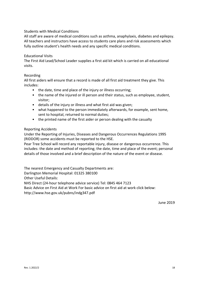### Students with Medical Conditions

All staff are aware of medical conditions such as asthma, anaphylaxis, diabetes and epilepsy. All teachers and instructors have access to students care plans and risk assessments which fully outline student's health needs and any specific medical conditions.

#### Educational Visits

The First Aid Lead/School Leader supplies a first aid kit which is carried on all educational visits.

#### Recording

All first aiders will ensure that a record is made of all first aid treatment they give. This includes:

- the date, time and place of the injury or illness occurring;
- the name of the injured or ill person and their status, such as employee, student, visitor;
- details of the injury or illness and what first aid was given;
- what happened to the person immediately afterwards, for example, sent home, sent to hospital, returned to normal duties;
- the printed name of the first aider or person dealing with the casualty

#### Reporting Accidents

Under the Reporting of Injuries, Diseases and Dangerous Occurrences Regulations 1995 (RIDDOR) some accidents must be reported to the HSE.

Pear Tree School will record any reportable injury, disease or dangerous occurrence. This includes: the date and method of reporting; the date, time and place of the event; personal details of those involved and a brief description of the nature of the event or disease.

The nearest Emergency and Casualty Departments are:

Darlington Memorial Hospital: 01325 380100

Other Useful Details:

NHS Direct (24-hour telephone advice service) Tel: 0845 464 7123

Basic Advice on First Aid at Work For basic advice on first aid at work click below:

http://www.hse.gov.uk/pubns/indg347.pdf

June 2019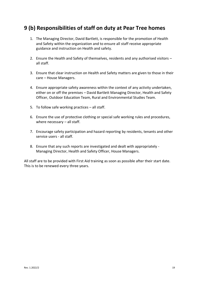### **9 (b) Responsibilities of staff on duty at Pear Tree homes**

- 1. The Managing Director, David Bartlett, is responsible for the promotion of Health and Safety within the organization and to ensure all staff receive appropriate guidance and instruction on Health and safety.
- 2. Ensure the Health and Safety of themselves, residents and any authorised visitors all staff.
- 3. Ensure that clear instruction on Health and Safety matters are given to those in their care – House Managers.
- 4. Ensure appropriate safety awareness within the context of any activity undertaken, either on or off the premises – David Bartlett Managing Director, Health and Safety Officer, Outdoor Education Team, Rural and Environmental Studies Team.
- 5. To follow safe working practices all staff.
- 6. Ensure the use of protective clothing or special safe working rules and procedures, where necessary – all staff.
- 7. Encourage safety participation and hazard reporting by residents, tenants and other service users - all staff.
- 8. Ensure that any such reports are investigated and dealt with appropriately Managing Director, Health and Safety Officer, House Managers.

All staff are to be provided with First Aid training as soon as possible after their start date. This is to be renewed every three years.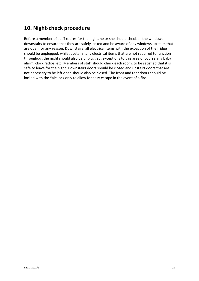### **10. Night-check procedure**

Before a member of staff retires for the night, he or she should check all the windows downstairs to ensure that they are safely locked and be aware of any windows upstairs that are open for any reason. Downstairs, all electrical items with the exception of the fridge should be unplugged, whilst upstairs, any electrical items that are not required to function throughout the night should also be unplugged; exceptions to this area of course any baby alarm, clock radios, etc. Members of staff should check each room, to be satisfied that it is safe to leave for the night. Downstairs doors should be closed and upstairs doors that are not necessary to be left open should also be closed. The front and rear doors should be locked with the Yale lock only to allow for easy escape in the event of a fire.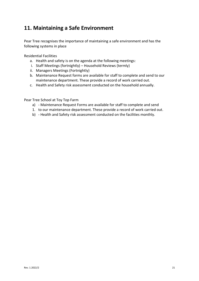### **11. Maintaining a Safe Environment**

Pear Tree recognises the importance of maintaining a safe environment and has the following systems in place

Residential Facilities

- a. Health and safety is on the agenda at the following meetings:
- i. Staff Meetings (fortnightly) Household Reviews (termly)
- ii. Managers Meetings (Fortnightly)
- b. Maintenance Request forms are available for staff to complete and send to our maintenance department. These provide a record of work carried out.
- c. Health and Safety risk assessment conducted on the household annually.

Pear Tree School at Toy Top Farm

- a) Maintenance Request Forms are available for staff to complete and send
- 1. to our maintenance department. These provide a record of work carried out.
- b) Health and Safety risk assessment conducted on the facilities monthly.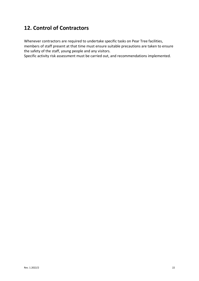# **12. Control of Contractors**

Whenever contractors are required to undertake specific tasks on Pear Tree facilities, members of staff present at that time must ensure suitable precautions are taken to ensure the safety of the staff, young people and any visitors.

Specific activity risk assessment must be carried out, and recommendations implemented.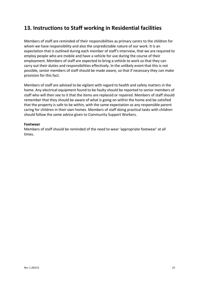### **13. Instructions to Staff working in Residential facilities**

Members of staff are reminded of their responsibilities as primary carers to the children for whom we have responsibility and also the unpredictable nature of our work. It is an expectation that is outlined during each member of staff's interview, that we are required to employ people who are mobile and have a vehicle for use during the course of their employment. Members of staff are expected to bring a vehicle to work so that they can carry out their duties and responsibilities effectively. In the unlikely event that this is not possible, senior members of staff should be made aware, so that if necessary they can make provision for this fact.

Members of staff are advised to be vigilant with regard to health and safety matters in the home. Any electrical equipment found to be faulty should be reported to senior members of staff who will then see to it that the items are replaced or repaired. Members of staff should remember that they should be aware of what is going on within the home and be satisfied that the property is safe to be within, with the same expectation as any responsible parent caring for children in their own homes. Members of staff doing practical tasks with children should follow the same advice given to Community Support Workers.

#### **Footwear**

Members of staff should be reminded of the need to wear 'appropriate footwear' at all times.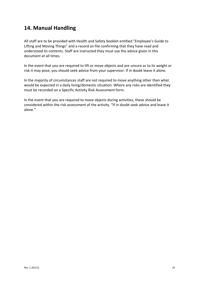### **14. Manual Handling**

All staff are to be provided with Health and Safety booklet entitled "Employee's Guide to Lifting and Moving Things" and a record on file confirming that they have read and understood its contents. Staff are instructed they must use the advice given in this document at all times.

In the event that you are required to lift or move objects and are unsure as to its weight or risk it may pose, you should seek advice from your supervisor. If in doubt leave it alone.

In the majority of circumstances staff are not required to move anything other than what would be expected in a daily living/domestic situation. Where any risks are identified they must be recorded on a Specific Activity Risk Assessment form.

In the event that you are required to move objects during activities, these should be considered within the risk assessment of the activity. "If in doubt seek advice and leave it alone."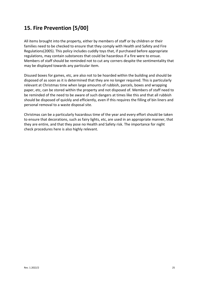# **15. Fire Prevention [5/00]**

All items brought into the property, either by members of staff or by children or their families need to be checked to ensure that they comply with Health and Safety and Fire Regulations(2005). This policy includes cuddly toys that, if purchased before appropriate regulations, may contain substances that could be hazardous if a fire were to ensue. Members of staff should be reminded not to cut any corners despite the sentimentality that may be displayed towards any particular item.

Disused boxes for games, etc, are also not to be hoarded within the building and should be disposed of as soon as it is determined that they are no longer required. This is particularly relevant at Christmas time when large amounts of rubbish, parcels, boxes and wrapping paper, etc, can be stored within the property and not disposed of. Members of staff need to be reminded of the need to be aware of such dangers at times like this and that all rubbish should be disposed of quickly and efficiently, even if this requires the filling of bin liners and personal removal to a waste disposal site.

Christmas can be a particularly hazardous time of the year and every effort should be taken to ensure that decorations, such as fairy lights, etc, are used in an appropriate manner, that they are entire, and that they pose no Health and Safety risk. The importance for night check procedures here is also highly relevant.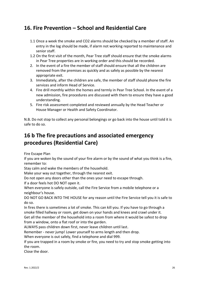### **16. Fire Prevention – School and Residential Care**

- 1.1 Once a week the smoke and CO2 alarms should be checked by a member of staff. An entry in the log should be made, if alarm not working reported to maintenance and senior staff.
- 1.2 On the first visit of the month, Pear Tree staff should ensure that the smoke alarms in Pear Tree properties are in working order and this should be recorded.
- 2. In the event of a fire the member of staff should ensure that all the children are removed from the premises as quickly and as safely as possible by the nearest appropriate exit.
- 3. Immediately, after the children are safe, the member of staff should phone the fire services and inform Head of Service.
- 4. Fire drill monthly within the homes and termly in Pear Tree School. In the event of a new admission, fire procedures are discussed with them to ensure they have a good understanding.
- 5. Fire risk assessment completed and reviewed annually by the Head Teacher or House Manager or Health and Safety Coordinator.

N.B. Do not stop to collect any personal belongings or go back into the house until told it is safe to do so.

# **16 b The fire precautions and associated emergency procedures (Residential Care)**

Fire Escape Plan

If you are woken by the sound of your fire alarm or by the sound of what you think is a fire, remember to:

Stay calm and wake the members of the household.

Make your way out together, through the nearest exit.

Do not open any doors other than the ones your need to escape through.

If a door feels hot DO NOT open it.

When everyone is safely outside, call the Fire Service from a mobile telephone or a neighbour's house.

DO NOT GO BACK INTO THE HOUSE for any reason until the Fire Service tell you it is safe to do so.

In fires there is sometimes a lot of smoke. This can kill you. If you have to go through a smoke filled hallway or room, get down on your hands and knees and crawl under it. Get all the member of the household into a room from where it would be safest to drop

from a window, onto a flat roof or into the garden.

ALWAYS pass children down first, never leave children until last.

Remember - never jump! Lower yourself to arms length and then drop.

When everyone is out safely, find a telephone and dial 999.

If you are trapped in a room by smoke or fire, you need to try and stop smoke getting into the room.

Close the door.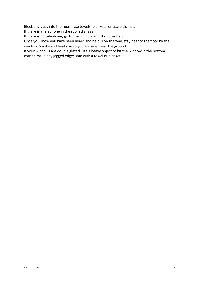Block any gaps into the room, use towels, blankets, or spare clothes.

If there is a telephone in the room dial 999.

If there is no telephone, go to the window and shout for help.

Once you know you have been heard and help is on the way, stay near to the floor by the window. Smoke and heat rise so you are safer near the ground.

If your windows are double glazed, use a heavy object to hit the window in the bottom corner, make any jagged edges safe with a towel or blanket.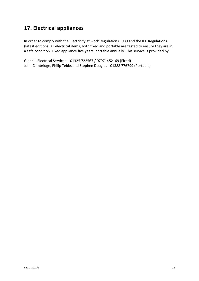# **17. Electrical appliances**

In order to comply with the Electricity at work Regulations 1989 and the IEE Regulations (latest editions) all electrical items, both fixed and portable are tested to ensure they are in a safe condition. Fixed appliance five years, portable annually. This service is provided by:

Gledhill Electrical Services – 01325 722567 / 07971452169 (Fixed) John Cambridge, Philip Tebbs and Stephen Douglas - 01388 776799 (Portable)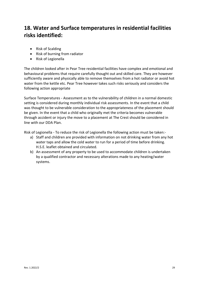# **18. Water and Surface temperatures in residential facilities risks identified:**

- Risk of Scalding
- Risk of burning from radiator
- Risk of Legionella

The children looked after in Pear Tree residential facilities have complex and emotional and behavioural problems that require carefully thought out and skilled care. They are however sufficiently aware and physically able to remove themselves from a hot radiator or avoid hot water from the kettle etc. Pear Tree however takes such risks seriously and considers the following action appropriate

Surface Temperatures - Assessment as to the vulnerability of children in a normal domestic setting is considered during monthly individual risk assessments. In the event that a child was thought to be vulnerable consideration to the appropriateness of the placement should be given. In the event that a child who originally met the criteria becomes vulnerable through accident or injury the move to a placement at The Crest should be considered in line with our DDA Plan.

Risk of Legionella - To reduce the risk of Legionella the following action must be taken:-

- a) Staff and children are provided with information on not drinking water from any hot water taps and allow the cold water to run for a period of time before drinking. H.S.E. leaflet obtained and circulated.
- b) An assessment of any property to be used to accommodate children is undertaken by a qualified contractor and necessary alterations made to any heating/water systems.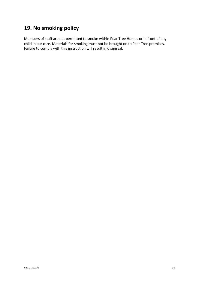### **19. No smoking policy**

Members of staff are not permitted to smoke within Pear Tree Homes or in front of any child in our care. Materials for smoking must not be brought on to Pear Tree premises. Failure to comply with this instruction will result in dismissal.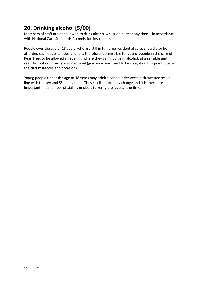# **20. Drinking alcohol [5/00]**

Members of staff are not allowed to drink alcohol whilst on duty at any time – in accordance with National Care Standards Commission instructions.

People over the age of 18 years, who are still in full-time residential care, should also be afforded such opportunities and it is, therefore, permissible for young people in the care of Pear Tree, to be allowed an evening where they can indulge in alcohol, at a sensible and realistic, but not pre-determined level (guidance may need to be sought on this point due to the circumstances and occasion).

Young people under the age of 18 years may drink alcohol under certain circumstances, in line with the law and SSI indications. These indications may change and it is therefore important, if a member of staff is unclear, to verify the facts at the time.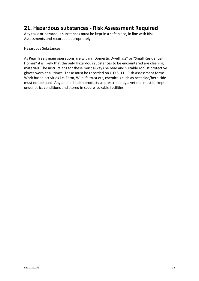### **21. Hazardous substances - Risk Assessment Required**

Any toxic or hazardous substances must be kept in a safe place, in line with Risk Assessments and recorded appropriately.

Hazardous Substances

As Pear Tree's main operations are within "Domestic Dwellings" or "Small Residential Homes" it is likely that the only Hazardous substances to be encountered are cleaning materials. The instructions for these must always be read and suitable robust protective gloves worn at all times. These must be recorded on C.O.S.H.H. Risk Assessment forms. Work based activities i.e. Farm, Wildlife trust etc, chemicals such as pesticide/herbicide must not be used. Any animal health products as prescribed by a vet etc. must be kept under strict conditions and stored in secure lockable facilities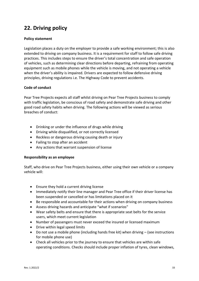# **22. Driving policy**

### **Policy statement**

Legislation places a duty on the employer to provide a safe working environment; this is also extended to driving on company business. It is a requirement for staff to follow safe driving practices. This includes steps to ensure the driver's total concentration and safe operation of vehicles, such as determining clear directions before departing, refraining from operating equipment such as mobile phones while the vehicle is moving, and not operating a vehicle when the driver's ability is impaired. Drivers are expected to follow defensive driving principles, driving regulations i.e. The Highway Code to prevent accidents.

### **Code of conduct**

Pear Tree Projects expects all staff whilst driving on Pear Tree Projects business to comply with traffic legislation, be conscious of road safety and demonstrate safe driving and other good road safety habits when driving. The following actions will be viewed as serious breaches of conduct:

- Drinking or under the influence of drugs while driving
- Driving while disqualified, or not correctly licensed
- Reckless or dangerous driving causing death or injury
- Failing to stop after an accident
- Any actions that warrant suspension of license

#### **Responsibility as an employee**

Staff, who drive on Pear Tree Projects business, either using their own vehicle or a company vehicle will:

- Ensure they hold a current driving license
- Immediately notify their line manager and Pear Tree office if their driver license has been suspended or cancelled or has limitations placed on it
- Be responsible and accountable for their actions when driving on company business
- Assess driving hazards and anticipate "what if scenarios"
- Wear safety belts and ensure that there is appropriate seat belts for the service users, which meet current legislation
- Number of passengers must never exceed the insured or licensed maximum
- Drive within legal speed limits
- Do not use a mobile phone (including hands free kit) when driving  $-$  (see instructions for mobile phone use)
- Check all vehicles prior to the journey to ensure that vehicles are within safe operating conditions. Checks should include proper inflation of tyres, clean windows,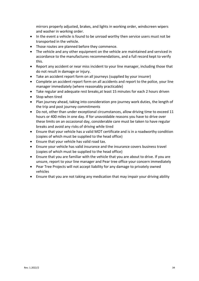mirrors properly adjusted, brakes, and lights in working order, windscreen wipers and washer in working order.

- In the event a vehicle is found to be unroad worthy then service users must not be transported in the vehicle.
- Those routes are planned before they commence.
- The vehicle and any other equipment on the vehicle are maintained and serviced in accordance to the manufactures recommendations, and a full record kept to verify this.
- Report any accident or near miss incident to your line manager, including those that do not result in damage or injury.
- Take an accident report form on all journeys (supplied by your insurer)
- Complete an accident report form on all accidents and report to the police, your line manager immediately (where reasonably practicable)
- Take regular and adequate rest breaks,at least 15 minutes for each 2 hours driven
- Stop when tired
- Plan journey ahead, taking into consideration pre-journey work duties, the length of the trip and post journey commitments
- Do not, other than under exceptional circumstances, allow driving time to exceed 11 hours or 400 miles in one day. If for unavoidable reasons you have to drive over these limits on an occasional day, considerable care must be taken to have regular breaks and avoid any risks of driving while tired
- Ensure that your vehicle has a valid MOT certificate and is in a roadworthy condition (copies of which must be supplied to the head office)
- Ensure that your vehicle has valid road tax.
- Ensure your vehicle has valid insurance and the insurance covers business travel (copies of which must be supplied to the head office)
- Ensure that you are familiar with the vehicle that you are about to drive. If you are unsure, report to your line manager and Pear tree office your concern immediately
- Pear Tree Projects will not accept liability for any damage to privately owned vehicles
- Ensure that you are not taking any medication that may impair your driving ability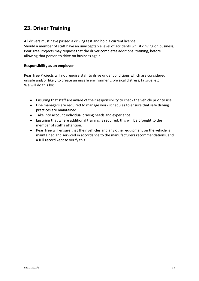### **23. Driver Training**

All drivers must have passed a driving test and hold a current licence. Should a member of staff have an unacceptable level of accidents whilst driving on business, Pear Tree Projects may request that the driver completes additional training, before allowing that person to drive on business again.

### **Responsibility as an employer**

Pear Tree Projects will not require staff to drive under conditions which are considered unsafe and/or likely to create an unsafe environment, physical distress, fatigue, etc. We will do this by:

- Ensuring that staff are aware of their responsibility to check the vehicle prior to use.
- Line managers are required to manage work schedules to ensure that safe driving practices are maintained.
- Take into account individual driving needs and experience.
- Ensuring that where additional training is required, this will be brought to the member of staff's attention.
- Pear Tree will ensure that their vehicles and any other equipment on the vehicle is maintained and serviced in accordance to the manufacturers recommendations, and a full record kept to verify this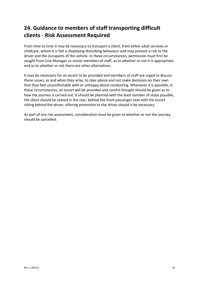# **24. Guidance to members of staff transporting difficult clients - Risk Assessment Required**

From time to time it may be necessary to transport a client, from either adult services or childcare, whom it is felt is displaying disturbing behaviour and may present a risk to the driver and the occupants of the vehicle. In these circumstances, permission must first be sought from Line Manager or senior members of staff, as to whether or not it is appropriate and as to whether or not there are other alternatives.

It may be necessary for an escort to be provided and members of staff are urged to discuss these issues, as and when they arise, to take advice and not make decisions on their own that they feel uncomfortable with or unhappy about conducting. Whenever it is possible, in these circumstances, an escort will be provided and careful thought should be given as to how the journey is carried out. It should be planned with the least number of stops possible, the client should be seated in the rear, behind the front passenger seat with the escort sitting behind the driver, offering protection to the driver should it be necessary.

As part of any risk assessment, consideration must be given to whether or not the journey should be cancelled.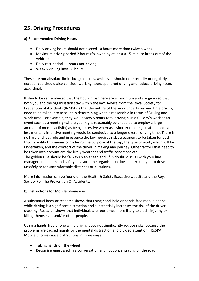# **25. Driving Procedures**

#### **a) Recommended Driving Hours**

- Daily driving hours should not exceed 10 hours more than twice a week
- Maximum driving period 2 hours (followed by at least a 15-minute break out of the vehicle)
- Daily rest period 11 hours not driving
- Weekly driving limit 56 hours

These are not absolute limits but guidelines, which you should not normally or regularly exceed. You should also consider working hours spent not driving and reduce driving hours accordingly.

It should be remembered that the hours given here are a maximum and are given so that both you and the organisation stay within the law. Advice from the Royal Society for Prevention of Accidents (RoSPA) is that the nature of the work undertaken and time driving need to be taken into account in determining what is reasonable in terms of Driving and Work time. For example, they would view 5 hours total driving plus a full day's work at an event such as a meeting (where you might reasonably be expected to employ a large amount of mental activity) as being excessive whereas a shorter meeting or attendance at a less mentally intensive meeting would be conducive to a longer overall driving time. There is no hard and fast rule and in essence the law requires risk assessment to be taken for each trip. In reality this means considering the purpose of the trip, the type of work, which will be undertaken, and the comfort of the driver in making any journey. Other factors that need to be taken into account are the likely weather and traffic conditions etc. The golden rule should be "always plan ahead and, if in doubt, discuss with your line manager and health and safety advisor – the organisation does not expect you to drive unsafely or for uncomfortable distances or durations.

More information can be found on the Health & Safety Executive website and the Royal Society For The Prevention Of Accidents.

#### **b) Instructions for Mobile phone use**

A substantial body or research shows that using hand-held or hands-free mobile phone while driving is a significant distraction and substantially increases the risk of the driver crashing. Research shows that individuals are four times more likely to crash, injuring or killing themselves and/or other people.

Using a hands-free phone while driving does not significantly reduce risks, because the problems are caused mainly by the mental distraction and divided attention, (RoSPA). Mobile phones cause distractions in three ways:

- Taking hands off the wheel
- Becoming engrossed in a conversation and not concentrating on the road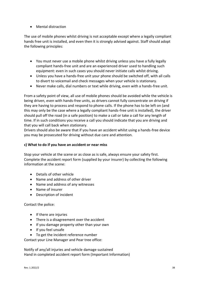• Mental distraction

The use of mobile phones whilst driving is not acceptable except where a legally compliant hands free unit is installed, and even then it is strongly advised against. Staff should adopt the following principles:

- You must never use a mobile phone whilst driving unless you have a fully legally compliant hands-free unit and are an experienced driver used to handling such equipment: even in such cases you should never initiate calls whilst driving.
- Unless you have a hands-free unit your phone should be switched off, with all calls to divert to voicemail and check messages when your vehicle is stationary.
- Never make calls, dial numbers or text while driving, even with a hands-free unit.

From a safety point of view, all use of mobile phones should be avoided while the vehicle is being driven, even with hands-free units, as drivers cannot fully concentrate on driving if they are having to process and respond to phone calls. If the phone has to be left on (and this may only be the case where a legally compliant hands-free unit is installed), the driver should pull off the road (in a safe position) to make a call or take a call for any length of time. If in such conditions you receive a call you should indicate that you are driving and that you will call back when stationary.

Drivers should also be aware that if you have an accident whilst using a hands-free device you may be prosecuted for driving without due care and attention.

#### **c) What to do if you have an accident or near miss**

Stop your vehicle at the scene or as close as is safe, always ensure your safety first. Complete the accident report form (supplied by your insurer) by collecting the following information at the scene:

- Details of other vehicle
- Name and address of other driver
- Name and address of any witnesses
- Name of insurer
- Description of incident

Contact the police:

- If there are injuries
- There is a disagreement over the accident
- If you damage property other than your own
- If you feel unsafe
- To get the incident reference number

Contact your Line Manager and Pear tree office:

Notify of any/all injuries and vehicle damage sustained Hand in completed accident report form (Important Information)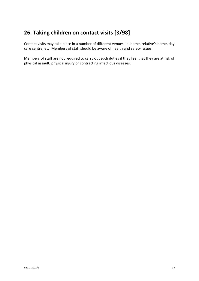# **26. Taking children on contact visits [3/98]**

Contact visits may take place in a number of different venues i.e. home, relative's home, day care centre, etc. Members of staff should be aware of health and safety issues.

Members of staff are not required to carry out such duties if they feel that they are at risk of physical assault, physical injury or contracting infectious diseases.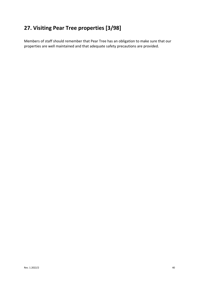# **27. Visiting Pear Tree properties [3/98]**

Members of staff should remember that Pear Tree has an obligation to make sure that our properties are well maintained and that adequate safety precautions are provided.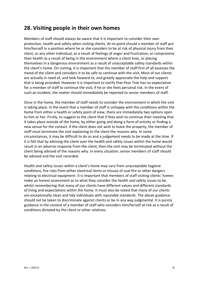### **28. Visiting people in their own homes**

Members of staff should always be aware that it is important to consider their own protection, health and safety when visiting clients. At no point should a member of staff put him/herself in a position where he or she considers to be at risk of physical injury from their client, or any other individual, as a result of feelings of anger and frustration, or compromise their health as a result of being in the environment where a client lives, or placing themselves in a dangerous environment as a result of unacceptable safety standards within the client's home. On visiting, it is important that the member of staff first of all assesses the mood of the client and considers it to be safe to continue with the visit. Most of our clients are actually in need of, and look forward to, and greatly appreciate the help and support that is being provided. However it is important to clarify that Pear Tree has no expectation for a member of staff to continue the visit, if he or she feels personal risk. In the event of such an incident, the matter should immediately be reported to senior members of staff.

Once in the home, the member of staff needs to consider the environment in which the visit is taking place. In the event that a member of staff is unhappy with the conditions within the home from either a health or safety point of view, there are immediately two options open to him or her. Firstly, to suggest to the client that if they wish to continue their meeting that it takes place outside of the home, by either going and doing a form of activity or finding a new venue for the contact. If the client does not wish to leave the property, the member of staff must terminate the visit explaining to the client the reasons why. In some circumstances, it may be difficult to do so and a judgement needs to be made at the time. If it is felt that by advising the client over the health and safety issues within the home would result in an adverse response from the client, then the visit may be terminated without the client being advised of the reasons why. In every situation, senior members of staff should be advised and the visit recorded.

Health and safety issues within a client's home may vary from unacceptable hygiene conditions, fire risks from either electrical items or misuse of coal fire or other dangers relating to electrical equipment. It is important that members of staff visiting clients' homes make an honest assessment as to what they consider the health and safety issues to be, whilst remembering that many of our clients have different values and different standards of living and expectations within the home. It must also be noted that many of our clients are exceptionally clean and tidy individuals with reputable standards. The above guidance should not be taken to discriminate against clients or be in any way judgmental. It is purely guidance in the context of a member of staff who considers him/herself at risk as a result of conditions dictated by the client or other relatives.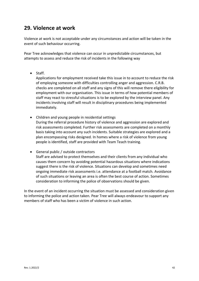### **29. Violence at work**

Violence at work is not acceptable under any circumstances and action will be taken in the event of such behaviour occurring.

Pear Tree acknowledges that violence can occur in unpredictable circumstances, but attempts to assess and reduce the risk of incidents in the following way

• Staff.

Applications for employment received take this issue in to account to reduce the risk of employing someone with difficulties controlling anger and aggression. C.R.B. checks are completed on all staff and any signs of this will remove there eligibility for employment with our organisation. This issue in terms of how potential members of staff may react to stressful situations is to be explored by the interview panel. Any incidents involving staff will result in disciplinary procedures being implemented immediately.

- Children and young people in residential settings During the referral procedure history of violence and aggression are explored and risk assessments completed. Further risk assessments are completed on a monthly basis taking into account any such incidents. Suitable strategies are explored and a plan encompassing risks designed. In homes where a risk of violence from young people is identified, staff are provided with Team Teach training.
- General public / outside contractors Staff are advised to protect themselves and their clients from any individual who causes them concern by avoiding potential hazardous situations where indications suggest there is the risk of violence. Situations can develop and sometimes need ongoing immediate risk assessments i.e. attendance at a football match. Avoidance of such situations or leaving an area is often the best course of action. Sometimes consideration to informing the police of observations should be given.

In the event of an incident occurring the situation must be assessed and consideration given to informing the police and action taken. Pear Tree will always endeavour to support any members of staff who has been a victim of violence in such action.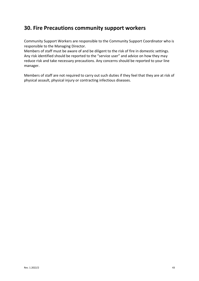### **30. Fire Precautions community support workers**

Community Support Workers are responsible to the Community Support Coordinator who is responsible to the Managing Director.

Members of staff must be aware of and be diligent to the risk of fire in domestic settings. Any risk identified should be reported to the "service user" and advice on how they may reduce risk and take necessary precautions. Any concerns should be reported to your line manager.

Members of staff are not required to carry out such duties if they feel that they are at risk of physical assault, physical injury or contracting infectious diseases.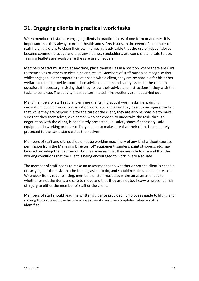# **31. Engaging clients in practical work tasks**

When members of staff are engaging clients in practical tasks of one form or another, it is important that they always consider health and safety issues. In the event of a member of staff helping a client to clean their own homes, it is advisable that the use of rubber gloves become common practice and that any aids, i.e. stepladders, are complete and safe to use. Training leaflets are available re the safe use of ladders.

Members of staff must not, at any time, place themselves in a position where there are risks to themselves or others to obtain an end result. Members of staff must also recognise that whilst engaged in a therapeutic relationship with a client, they are responsible for his or her welfare and must provide appropriate advice on health and safety issues to the client in question. If necessary, insisting that they follow their advice and instructions if they wish the tasks to continue. The activity must be terminated if instructions are not carried out.

Many members of staff regularly engage clients in practical work tasks, i.e. painting, decorating, building work, conservation work, etc, and again they need to recognise the fact that while they are responsible for the care of the client, they are also responsible to make sure that they themselves, as a person who has chosen to undertake the task, through negotiation with the client, is adequately protected, i.e. safety shoes if necessary, safe equipment in working order, etc. They must also make sure that their client is adequately protected to the same standard as themselves.

Members of staff and clients should not be working machinery of any kind without express permission from the Managing Director. DIY equipment, sanders, paint strippers, etc. may be used providing the member of staff has assessed that they are safe to use and that the working conditions that the client is being encouraged to work in, are also safe.

The member of staff needs to make an assessment as to whether or not the client is capable of carrying out the tasks that he is being asked to do, and should remain under supervision. Whenever items require lifting, members of staff must also make an assessment as to whether or not the items are safe to move and that they are not too heavy or present a risk of injury to either the member of staff or the client.

Members of staff should read the written guidance provided, 'Employees guide to lifting and moving things'. Specific activity risk assessments must be completed when a risk is identified.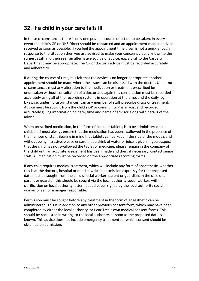# **32. If a child in your care falls ill**

In these circumstances there is only one possible course of action to be taken. In every event the child's GP or NHS Direct should be contacted and an appointment made or advice received as soon as possible. If you feel the appointment time given is not a quick enough response to the situation then you are advised to make your concerns clearly known to the surgery staff and then seek an alternative source of advice, e.g. a visit to the Casualty Department may be appropriate. The GP or doctor's advice must be recorded accurately and adhered to.

If during the course of time, it is felt that the advice is no longer appropriate another appointment should be made where the issues can be discussed with the doctor. Under no circumstances must any alteration to the medication or treatment prescribed be undertaken without consultation of a doctor and again this consultation must be recorded accurately using all of the recording systems in operation at the time, and the daily log. Likewise, under no circumstances, can any member of staff prescribe drugs or treatment. Advice must be sought from the child's GP or community Pharmacist and recorded accurately giving information on date, time and name of advisor along with details of the advice.

When prescribed medication, in the form of liquid or tablets, is to be administered to a child, staff must always ensure that the medication has been swallowed in the presence of the member of staff. Bearing in mind that tablets can be kept in the side of the mouth, and without being intrusive, please ensure that a drink of water or juice is given. If you suspect that the child has not swallowed the tablet or medicine, please remain in the company of the child until an accurate assessment has been made and then, if necessary, contact senior staff. All medication must be recorded on the appropriate recording forms.

If any child requires medical treatment, which will include any form of anaesthetic, whether this is at the doctors, hospital or dentist, written permission expressly for that proposed date must be sought from the child's social worker, parent or guardian. In the case of a parent or guardian this should be sought via the local authority social worker, with clarification on local authority letter headed paper signed by the local authority social worker or senior manager responsible.

Permission must be sought before any treatment in the form of anaesthetic can be administered. This is in addition to any other previous consent form, which may have been completed by either the local authority, or Pear Tree's own medical consent forms. This should be requested in writing to the local authority, as soon as the proposed date is known. This advice does not include emergency treatment for which consent should be obtained on admission.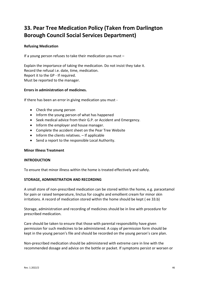# **33. Pear Tree Medication Policy (Taken from Darlington Borough Council Social Services Department)**

#### **Refusing Medication**

If a young person refuses to take their medication you must –

Explain the importance of taking the medication. Do not insist they take it. Record the refusal i.e. date, time, medication. Report it to the GP - If required. Must be reported to the manager.

#### **Errors in administration of medicines.**

If there has been an error in giving medication you must -

- Check the young person
- Inform the young person of what has happened
- Seek medical advice from their G.P. or Accident and Emergency.
- Inform the employer and house manager.
- Complete the accident sheet on the Pear Tree Website
- Inform the clients relatives. If applicable
- Send a report to the responsible Local Authority.

#### **Minor Illness Treatment**

#### **INTRODUCTION**

To ensure that minor illness within the home is treated effectively and safely.

#### **STORAGE, ADMINISTRATION AND RECORDING**

A small store of non-prescribed medication can be stored within the home, e.g. paracetamol for pain or raised temperature, linctus for coughs and emollient cream for minor skin irritations. A record of medication stored within the home should be kept ( ee 33.b)

Storage, administration and recording of medicines should be in line with procedure for prescribed medication.

Care should be taken to ensure that those with parental responsibility have given permission for such medicines to be administered. A copy of permission form should be kept in the young person's file and should be recorded on the young person's care plan.

Non-prescribed medication should be administered with extreme care in line with the recommended dosage and advice on the bottle or packet. If symptoms persist or worsen or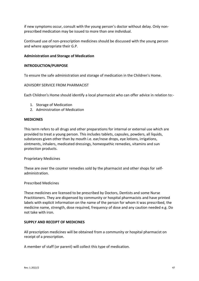if new symptoms occur, consult with the young person's doctor without delay. Only nonprescribed medication may be issued to more than one individual.

Continued use of non-prescription medicines should be discussed with the young person and where appropriate their G.P.

#### **Administration and Storage of Medication**

#### **INTRODUCTION/PURPOSE**

To ensure the safe administration and storage of medication in the Children's Home.

#### ADVISORY SERVICE FROM PHARMACIST

Each Children's Home should identify a local pharmacist who can offer advice in relation to:-

- 1. Storage of Medication
- 2. Administration of Medication

#### **MEDICINES**

This term refers to all drugs and other preparations for internal or external use which are provided to treat a young person. This includes tablets, capsules, powders, all liquids, substances given other than by mouth i.e. ear/nose drops, eye lotions, irrigations, ointments, inhalers, medicated dressings, homeopathic remedies, vitamins and sun protection products.

Proprietary Medicines

These are over the counter remedies sold by the pharmacist and other shops for selfadministration.

#### Prescribed Medicines

These medicines are licensed to be prescribed by Doctors, Dentists and some Nurse Practitioners. They are dispensed by community or hospital pharmacists and have printed labels with explicit information on the name of the person for whom it was prescribed, the medicine name, strength, dose required, frequency of dose and any caution needed e.g. Do not take with iron.

#### **SUPPLY AND RECEIPT OF MEDICINES**

All prescription medicines will be obtained from a community or hospital pharmacist on receipt of a prescription.

A member of staff (or parent) will collect this type of medication.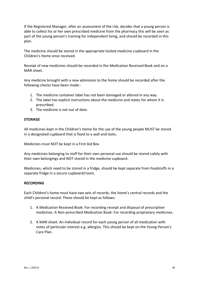If the Registered Manager, after an assessment of the risk, decides that a young person is able to collect his or her own prescribed medicine from the pharmacy this will be seen as part of the young person's training for independent living, and should be recorded in this plan.

The medicine should be stored in the appropriate locked medicine cupboard in the Children's Home once received.

Receipt of new medicines should be recorded in the Medication Received Book and on a MAR sheet.

Any medicine brought with a new admission to the home should be recorded after the following checks have been made:-

- 1. The medicine container label has not been damaged or altered in any way.
- 2. The label has explicit instructions about the medicine and states for whom it is prescribed.
- 3. The medicine is not out of date.

#### **STORAGE**

All medicines kept in the Children's Home for the use of the young people MUST be stored in a designated cupboard that is fixed to a wall and locks.

Medicines must NOT be kept in a First Aid Box

Any medicines belonging to staff for their own personal use should be stored safely with their own belongings and NOT stored in the medicine cupboard.

Medicines, which need to be stored in a fridge, should be kept separate from foodstuffs in a separate fridge in a secure cupboard/room.

#### **RECORDING**

Each Children's home must have two sets of records, the home's central records and the child's personal record. These should be kept as follows:

- 1. A Medication Received Book: For recording receipt and disposal of prescription medicines. A Non-prescribed Medication Book: For recording proprietary medicines.
- 2. A MAR sheet: An individual record for each young person of all medication with notes of particular interest e.g. allergies. This should be kept on the Young Person's Care Plan.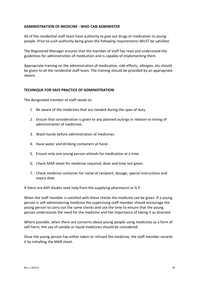#### **ADMINISTRATION OF MEDICINE - WHO CAN ADMINISTER**

All of the residential staff team have authority to give out drugs or medication to young people. Prior to such authority being given the following requirements MUST be satisfied.

The Registered Manager ensures that the member of staff has read and understood the guidelines for administration of medication and is capable of implementing them.

Appropriate training on the administration of medication, side effects, allergies, etc should be given to all the residential staff team. The training should be provided by an appropriate means.

#### **TECHNIQUE FOR SAFE PRACTICE OF ADMINISTRATION**

The designated member of staff needs to:

- 1. Be aware of the medicines that are needed during the span of duty.
- 2. Ensure that consideration is given to any planned outings in relation to timing of administration of medicines.
- 3. Wash hands before administration of medicines.
- 4. Have water and drinking containers at hand.
- 5. Ensure only one young person attends for medication at a time.
- 6. Check MAR sheet for medicine required, dose and time last given.
- 7. Check medicine container for name of recipient, dosage, special instructions and expiry date.

If there are ANY doubts seek help from the supplying pharmacist or G.P.

When the staff member is satisfied with these checks the medicine can be given. If a young person is self-administering medicine the supervising staff member should encourage the young person to carry out the same checks and use the time to ensure that the young person understands the need for the medicine and the importance of taking it as directed.

Where possible, when there are concerns about young people using medicines as a form of self harm, the use of soluble or liquid medicines should be considered.

Once the young person has either taken or refused the medicine, the staff member records it by initialling the MAR sheet.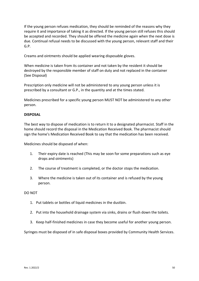If the young person refuses medication, they should be reminded of the reasons why they require it and importance of taking it as directed. If the young person still refuses this should be accepted and recorded. They should be offered the medicine again when the next dose is due. Continual refusal needs to be discussed with the young person, relevant staff and their G.P.

Creams and ointments should be applied wearing disposable gloves.

When medicine is taken from its container and not taken by the resident it should be destroyed by the responsible member of staff on duty and not replaced in the container (See Disposal)

Prescription only medicine will not be administered to any young person unless it is prescribed by a consultant or G.P., in the quantity and at the times stated.

Medicines prescribed for a specific young person MUST NOT be administered to any other person.

#### **DISPOSAL**

The best way to dispose of medication is to return it to a designated pharmacist. Staff in the home should record the disposal in the Medication Received Book. The pharmacist should sign the home's Medication Received Book to say that the medication has been received.

Medicines should be disposed of when:

- 1. Their expiry date is reached (This may be soon for some preparations such as eye drops and ointments)
- 2. The course of treatment is completed, or the doctor stops the medication.
- 3. Where the medicine is taken out of its container and is refused by the young person.

DO NOT

- 1. Put tablets or bottles of liquid medicines in the dustbin.
- 2. Put into the household drainage system via sinks, drains or flush down the toilets.
- 3. Keep half-finished medicines in case they become useful for another young person.

Syringes must be disposed of in safe disposal boxes provided by Community Health Services.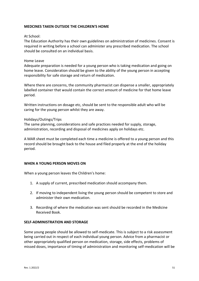#### **MEDCINES TAKEN OUTSIDE THE CHILDREN'S HOME**

#### At School:

The Education Authority has their own guidelines on administration of medicines. Consent is required in writing before a school can administer any prescribed medication. The school should be consulted on an individual basis.

#### Home Leave

Adequate preparation is needed for a young person who is taking medication and going on home leave. Consideration should be given to the ability of the young person in accepting responsibility for safe storage and return of medication.

Where there are concerns, the community pharmacist can dispense a smaller, appropriately labelled container that would contain the correct amount of medicine for that home leave period.

Written instructions on dosage etc, should be sent to the responsible adult who will be caring for the young person whilst they are away.

#### Holidays/Outings/Trips

The same planning, considerations and safe practices needed for supply, storage, administration, recording and disposal of medicines apply on holidays etc.

A MAR sheet must be completed each time a medicine is offered to a young person and this record should be brought back to the house and filed properly at the end of the holiday period.

#### **WHEN A YOUNG PERSON MOVES ON**

When a young person leaves the Children's home:

- 1. A supply of current, prescribed medication should accompany them.
- 2. If moving to independent living the young person should be competent to store and administer their own medication.
- 3. Recording of where the medication was sent should be recorded in the Medicine Received Book.

#### **SELF-ADMINISTRATION AND STORAGE**

Some young people should be allowed to self-medicate. This is subject to a risk assessment being carried out in respect of each individual young person. Advice from a pharmacist or other appropriately qualified person on medication, storage, side effects, problems of missed doses, importance of timing of administration and monitoring self-medication will be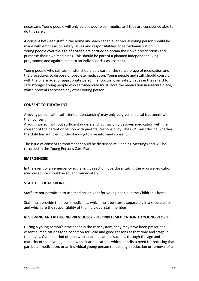necessary. Young people will only be allowed to self-medicate if they are considered able to do this safely.

A consent between staff in the home and each capable individual young person should be made with emphasis on safety issues and responsibilities of self-administration. Young people over the age of sixteen are entitled to obtain their own prescriptions and purchase their own medicines. This should be part of a planned independent living programme and again subject to an individual risk assessment.

Young people who self-administer should be aware of the safe storage of medication and the procedures to dispose of obsolete medication. Young people and staff should consult with the pharmacist or appropriate person i.e. Doctor, over safety issues in the regard to safe storage. Young people who self-medicate must store the medication in a secure place, which prevents access to any other young person.

#### **CONSENT TO TREATMENT**

A young person with 'sufficient understanding' may only be given medical treatment with their consent.

A young person without sufficient understanding may only be given medication with the consent of the parent or person with parental responsibility. The G.P. must decide whether the child has sufficient understanding to give informed consent.

The issue of consent to treatment should be discussed at Planning Meetings and will be recorded in the Young Persons Care Plan.

#### **EMERGENCIES**

In the event of an emergency e.g. allergic reaction, overdose, taking the wrong medication, medical advice should be sought immediately.

#### **STAFF USE OF MEDICINES**

Staff are not permitted to use medication kept for young people in the Children's home.

Staff must provide their own medicines, which must be stored separately in a secure place and which are the responsibility of the individual staff member.

#### **REVIEWING AND REDUCING PREVIOUSLY PRESCRIBED MEDICATION TO YOUNG PEOPLE:**

During a young person's time spent in the care system, they may have been prescribed essential medications for a condition for valid and good reasons at that time and stage in their lives. Over a period of time with clear indications such as, through the age and maturity of the a young person with clear indications which identify a need for reducing that particular medication, or an individual young person requesting a reduction or removal of a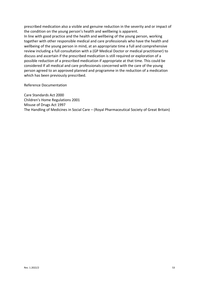prescribed medication also a visible and genuine reduction in the severity and or impact of the condition on the young person's health and wellbeing is apparent. In line with good practice and the health and wellbeing of the young person, working together with other responsible medical and care professionals who have the health and wellbeing of the young person in mind, at an appropriate time a full and comprehensive review including a full consultation with a (GP Medical Doctor or medical practitioner) to discuss and ascertain if the prescribed medication is still required or exploration of a possible reduction of a prescribed medication if appropriate at that time. This could be considered If all medical and care professionals concerned with the care of the young person agreed to an approved planned and programme in the reduction of a medication which has been previously prescribed.

Reference Documentation

Care Standards Act 2000 Children's Home Regulations 2001 Misuse of Drugs Act 1997 The Handling of Medicines in Social Care – (Royal Pharmaceutical Society of Great Britain)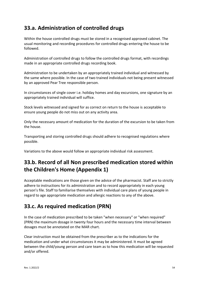# **33.a. Administration of controlled drugs**

Within the house controlled drugs must be stored in a recognised approved cabinet. The usual monitoring and recording procedures for controlled drugs entering the house to be followed.

Administration of controlled drugs to follow the controlled drugs format, with recordings made in an appropriate controlled drugs recording book.

Administration to be undertaken by an appropriately trained individual and witnessed by the same where possible. In the case of two trained individuals not being present witnessed by an approved Pear Tree responsible person.

In circumstances of single cover i.e. holiday homes and day excursions, one signature by an appropriately trained individual will suffice.

Stock levels witnessed and signed for as correct on return to the house is acceptable to ensure young people do not miss out on any activity area.

Only the necessary amount of medication for the duration of the excursion to be taken from the house.

Transporting and storing controlled drugs should adhere to recognised regulations where possible.

Variations to the above would follow an appropriate individual risk assessment.

# **33.b. Record of all Non prescribed medication stored within the Children's Home (Appendix 1)**

Acceptable medications are those given on the advice of the pharmacist. Staff are to strictly adhere to instructions for its administration and to record appropriately in each young person's file. Staff to familiarise themselves with individual care plans of young people in regard to age appropriate medication and allergic reactions to any of the above.

# **33.c. As required medication (PRN)**

In the case of medication prescribed to be taken "when necessary" or "when required" (PRN) the maximum dosage in twenty four hours and the necessary time interval between dosages must be annotated on the MAR chart.

Clear instruction must be obtained from the prescriber as to the indications for the medication and under what circumstances it may be administered. It must be agreed between the child/young person and care team as to how this medication will be requested and/or offered.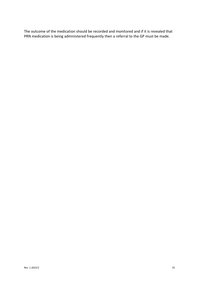The outcome of the medication should be recorded and monitored and if it is revealed that PRN medication is being administered frequently then a referral to the GP must be made.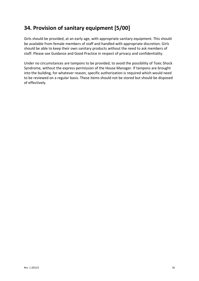# **34. Provision of sanitary equipment [5/00]**

Girls should be provided, at an early age, with appropriate sanitary equipment. This should be available from female members of staff and handled with appropriate discretion. Girls should be able to keep their own sanitary products without the need to ask members of staff. Please see Guidance and Good Practice in respect of privacy and confidentiality.

Under no circumstances are tampons to be provided, to avoid the possibility of Toxic Shock Syndrome, without the express permission of the House Manager. If tampons are brought into the building, for whatever reason, specific authorization is required which would need to be reviewed on a regular basis. These items should not be stored but should be disposed of effectively.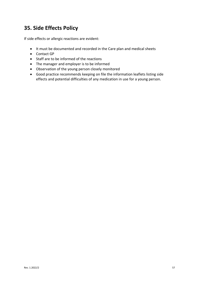# **35. Side Effects Policy**

If side effects or allergic reactions are evident:

- It must be documented and recorded in the Care plan and medical sheets
- Contact GP
- Staff are to be informed of the reactions
- The manager and employer is to be informed
- Observation of the young person closely monitored
- Good practice recommends keeping on file the information leaflets listing side effects and potential difficulties of any medication in use for a young person.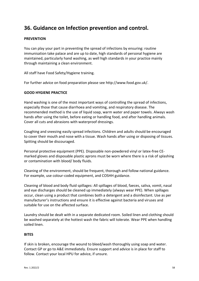### **36. Guidance on Infection prevention and control.**

#### **PREVENTION**

You can play your part in preventing the spread of infections by ensuring: routine immunisation take palace and are up to date, high standards of personal hygiene are maintained, particularly hand washing, as well high standards in your practice mainly through maintaining a clean environment.

All staff have Food Safety/Hygiene training.

For further advice on food preparation please see http://www.food.gov.uk/.

#### **GOOD HYGIENE PRACTICE**

Hand washing is one of the most important ways of controlling the spread of infections, especially those that cause diarrhoea and vomiting, and respiratory disease. The recommended method is the use of liquid soap, warm water and paper towels. Always wash hands after using the toilet, before eating or handling food, and after handling animals. Cover all cuts and abrasions with waterproof dressings.

Coughing and sneezing easily spread infections. Children and adults should be encouraged to cover their mouth and nose with a tissue. Wash hands after using or disposing of tissues. Spitting should be discouraged.

Personal protective equipment (PPE). Disposable non-powdered vinyl or latex-free CEmarked gloves and disposable plastic aprons must be worn where there is a risk of splashing or contamination with blood/ body fluids.

Cleaning of the environment, should be frequent, thorough and follow national guidance. For example, use colour-coded equipment, and COSHH guidance.

Cleaning of blood and body fluid spillages: All spillages of blood, faeces, saliva, vomit, nasal and eye discharges should be cleaned up immediately (always wear PPE). When spillages occur, clean using a product that combines both a detergent and a disinfectant. Use as per manufacturer's instructions and ensure it is effective against bacteria and viruses and suitable for use on the affected surface.

Laundry should be dealt with in a separate dedicated room. Soiled linen and clothing should be washed separately at the hottest wash the fabric will tolerate. Wear PPE when handling soiled linen.

#### **BITES**

If skin is broken, encourage the wound to bleed/wash thoroughly using soap and water. Contact GP or go to A&E immediately. Ensure support and advice is in place for staff to follow. Contact your local HPU for advice, if unsure.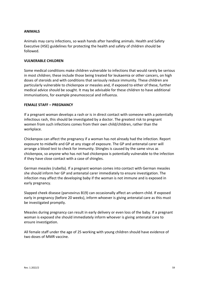#### **ANIMALS**

Animals may carry infections, so wash hands after handling animals. Health and Safety Executive (HSE) guidelines for protecting the health and safety of children should be followed.

#### **VULNERABLE CHILDREN**

Some medical conditions make children vulnerable to infections that would rarely be serious in most children; these include those being treated for leukaemia or other cancers, on high doses of steroids and with conditions that seriously reduce immunity. These children are particularly vulnerable to chickenpox or measles and, if exposed to either of these, further medical advice should be sought. It may be advisable for these children to have additional immunisations, for example pneumococcal and influenza.

#### **FEMALE STAFF – PREGNANCY**

If a pregnant woman develops a rash or is in direct contact with someone with a potentially infectious rash, this should be investigated by a doctor. The greatest risk to pregnant women from such infections comes from their own child/children, rather than the workplace.

Chickenpox can affect the pregnancy if a woman has not already had the infection. Report exposure to midwife and GP at any stage of exposure. The GP and antenatal carer will arrange a blood test to check for immunity. Shingles is caused by the same virus as chickenpox, so anyone who has not had chickenpox is potentially vulnerable to the infection if they have close contact with a case of shingles.

German measles (rubella). If a pregnant woman comes into contact with German measles she should inform her GP and antenatal carer immediately to ensure investigation. The infection may affect the developing baby if the woman is not immune and is exposed in early pregnancy.

Slapped cheek disease (parvovirus B19) can occasionally affect an unborn child. If exposed early in pregnancy (before 20 weeks), inform whoever is giving antenatal care as this must be investigated promptly.

Measles during pregnancy can result in early delivery or even loss of the baby. If a pregnant woman is exposed she should immediately inform whoever is giving antenatal care to ensure investigation.

All female staff under the age of 25 working with young children should have evidence of two doses of MMR vaccine.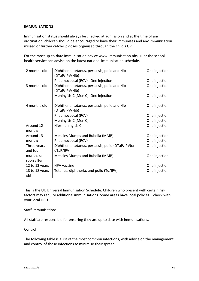#### **IMMUNISATIONS**

Immunisation status should always be checked at admission and at the time of any vaccination. children should be encouraged to have their immunises and any immunisation missed or further catch-up doses organised through the child's GP.

For the most up-to-date immunisation advice www.immunisation.nhs.uk or the school health service can advise on the latest national immunisation schedule.

| 2 months old            | Diphtheria, tetanus, pertussis, polio and Hib<br>(DTaP/IPV/Hib) | One injection |
|-------------------------|-----------------------------------------------------------------|---------------|
|                         | Pneumococcal (PCV) One injection                                | One injection |
| 3 months old            | Diphtheria, tetanus, pertussis, polio and Hib<br>(DTaP/IPV/Hib) | One injection |
|                         | Meningitis C (Men C) One injection                              | One injection |
| 4 months old            | Diphtheria, tetanus, pertussis, polio and Hib<br>(DTaP/IPV/Hib) | One injection |
|                         | Pneumococcal (PCV)                                              | One injection |
|                         | Meningitis C (Men C)                                            | One injection |
| Around 12<br>months     | Hib/meningitis C                                                | One injection |
| Around 13               | Measles Mumps and Rubella (MMR)                                 | One injection |
| months                  | Pneumococcal (PCV)                                              | One injection |
| Three years<br>and four | Diphtheria, tetanus, pertussis, polio (DTaP/IPV) or<br>dTaP/IPV | One injection |
| months or               | Measles Mumps and Rubella (MMR)                                 | One injection |
| soon after              |                                                                 |               |
| 12 to 13 years          | <b>HPV</b> vaccine                                              | One injection |
| 13 to 18 years<br>old   | Tetanus, diphtheria, and polio (Td/IPV)                         | One injection |

This is the UK Universal Immunisation Schedule. Children who present with certain risk factors may require additional immunisations. Some areas have local policies – check with your local HPU.

Staff immunisations

All staff are responsible for ensuring they are up to date with immunisations.

Control

The following table is a list of the most common infections, with advice on the management and control of those infections to minimise their spread.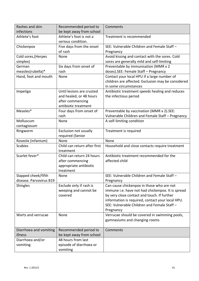| Rashes and skin<br>infections                  | Recommended period to<br>be kept away from school                                                | Comments                                                                                                                                                                                                                                                      |
|------------------------------------------------|--------------------------------------------------------------------------------------------------|---------------------------------------------------------------------------------------------------------------------------------------------------------------------------------------------------------------------------------------------------------------|
| Athlete's foot                                 | Athlete's foot is not a<br>serious condition.                                                    | Treatment is recommended                                                                                                                                                                                                                                      |
| Chickenpox                                     | Five days from the onset<br>of rash                                                              | SEE: Vulnerable Children and Female Staff -<br>Pregnancy                                                                                                                                                                                                      |
| Cold sores, (Herpes<br>simplex)                | None                                                                                             | Avoid kissing and contact with the sores. Cold<br>sores are generally mild and self-limiting                                                                                                                                                                  |
| German<br>measles(rubella)*                    | Six days from onset of<br>rash                                                                   | Preventable by immunisation (MMR x 2<br>doses).SEE: Female Staff - Pregnancy                                                                                                                                                                                  |
| Hand, foot and mouth                           | None                                                                                             | Contact your local HPU if a large number of<br>children are affected. Exclusion may be considered<br>in some circumstances                                                                                                                                    |
| Impetigo                                       | Until lesions are crusted<br>and healed, or 48 hours<br>after commencing<br>antibiotic treatment | Antibiotic treatment speeds healing and reduces<br>the infectious period                                                                                                                                                                                      |
| Measles*                                       | Four days from onset of<br>rash                                                                  | Preventable by vaccination (MMR x 2).SEE:<br>Vulnerable Children and Female Staff - Pregnancy                                                                                                                                                                 |
| Molluscum<br>contagiosum                       | None                                                                                             | A self-limiting condition                                                                                                                                                                                                                                     |
| Ringworm                                       | Exclusion not usually<br>required (Senior                                                        | Treatment is required                                                                                                                                                                                                                                         |
| Roseola (infantum)                             | None                                                                                             | None                                                                                                                                                                                                                                                          |
| <b>Scabies</b>                                 | Child can return after first<br>treatment                                                        | Household and close contacts require treatment                                                                                                                                                                                                                |
| Scarlet fever*                                 | Child can return 24 hours<br>after commencing<br>appropriate antibiotic<br>treatment             | Antibiotic treatment recommended for the<br>affected child                                                                                                                                                                                                    |
| Slapped cheek/fifth<br>disease. Parvovirus B19 | None                                                                                             | SEE: Vulnerable Children and Female Staff -<br>Pregnancy                                                                                                                                                                                                      |
| <b>Shingles</b>                                | Exclude only if rash is<br>weeping and cannot be<br>covered                                      | Can cause chickenpox in those who are not<br>immune i.e. have not had chickenpox. It is spread<br>by very close contact and touch. If further<br>information is required, contact your local HPU.<br>SEE: Vulnerable Children and Female Staff -<br>Pregnancy |
| Warts and verrucae                             | None                                                                                             | Verrucae should be covered in swimming pools,<br>gymnasiums and changing rooms                                                                                                                                                                                |
| Diarrhoea and vomiting<br>illness              | Recommended period to<br>be kept away from school                                                | Comments                                                                                                                                                                                                                                                      |
| Diarrhoea and/or<br>vomiting                   | 48 hours from last                                                                               |                                                                                                                                                                                                                                                               |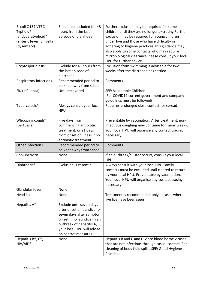| E. coli O157 VTEC        | Should be excluded for 48    | Further exclusion may be required for some          |
|--------------------------|------------------------------|-----------------------------------------------------|
| Typhoid*                 | hours from the last          | children until they are no longer excreting Further |
| [andcparatyphoid*]       | episode of diarrhoea         | exclusion may be required for young children        |
| (enteric fever) Shigella |                              | under five and those who have difficulty in         |
| (dysentery)              |                              | adhering to hygiene practices This guidance may     |
|                          |                              | also apply to some contacts who may require         |
|                          |                              | microbiological clearance Please consult your local |
|                          |                              | HPU for further advice                              |
| Cryptosporidiosis        | Exclude for 48 hours from    | Exclusion from swimming is advisable for two        |
|                          | the last episode of          | weeks after the diarrhoea has settled               |
|                          | diarrhoea                    |                                                     |
| Respiratory infections   | Recommended period to        | Comments                                            |
|                          | be kept away from school     |                                                     |
| Flu (influenza)          | Until recovered              | SEE: Vulnerable Children                            |
|                          |                              | (For COVID19 current government and company         |
|                          |                              | guidelines must be followed(                        |
| Tuberculosis*            | Always consult your local    | Requires prolonged close contact for spread         |
|                          | <b>HPU</b>                   |                                                     |
|                          |                              |                                                     |
| Whooping cough*          | Five days from               | Preventable by vaccination. After treatment, non-   |
| (pertussis)              | commencing antibiotic        | infectious coughing may continue for many weeks.    |
|                          | treatment, or 21 days        | Your local HPU will organise any contact tracing    |
|                          | from onset of illness if no  | necessary                                           |
|                          | antibiotic treatment         |                                                     |
| Other infections         | Recommended period to        | Comments                                            |
|                          | be kept away from school     |                                                     |
| Conjunctivitis           | None                         | If an outbreak/cluster occurs, consult your local   |
|                          |                              | <b>HPU</b>                                          |
| Diphtheria*              | Exclusion is essential.      | Always consult with your local HPU Family           |
|                          |                              | contacts must be excluded until cleared to return   |
|                          |                              | by your local HPU. Preventable by vaccination.      |
|                          |                              | Your local HPU will organise any contact tracing    |
|                          |                              | necessary                                           |
| Glandular fever          | None                         |                                                     |
| Head lice                | None                         | Treatment is recommended only in cases where        |
|                          |                              | live lice have been seen                            |
| Hepatitis A*             | Exclude until seven days     |                                                     |
|                          | after onset of jaundice (or  |                                                     |
|                          | seven days after symptom     |                                                     |
|                          | on set if no jaundice) In an |                                                     |
|                          | outbreak of hepatitis A,     |                                                     |
|                          | your local HPU will advise   |                                                     |
|                          | on control measures          |                                                     |
| Hepatitis B*, C*,        | None                         | Hepatitis B and C and HIV are blood borne viruses   |
| HIV/AIDS                 |                              | that are not infectious through casual contact. For |
|                          |                              | cleaning of body fluid spills. SEE: Good Hygiene    |
|                          |                              | Practice                                            |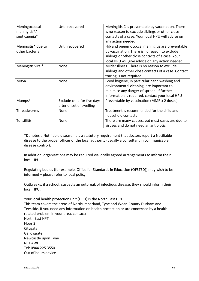| Meningococcal<br>meningitis <sup>*</sup> /<br>septicaemia* | Until recovered                                        | Meningitis C is preventable by vaccination. There<br>is no reason to exclude siblings or other close<br>contacts of a case. Your local HPU will advise on<br>any action needed                          |
|------------------------------------------------------------|--------------------------------------------------------|---------------------------------------------------------------------------------------------------------------------------------------------------------------------------------------------------------|
| Meningitis* due to<br>other bacteria                       | Until recovered                                        | Hib and pneumococcal meningitis are preventable<br>by vaccination. There is no reason to exclude<br>siblings or other close contacts of a case. Your<br>local HPU will give advice on any action needed |
| Meningitis viral*                                          | None                                                   | Milder illness. There is no reason to exclude<br>siblings and other close contacts of a case. Contact<br>tracing is not required                                                                        |
| <b>MRSA</b>                                                | None                                                   | Good hygiene, in particular hand washing and<br>environmental cleaning, are important to<br>minimise any danger of spread. If further<br>information is required, contact your local HPU                |
| Mumps*                                                     | Exclude child for five days<br>after onset of swelling | Preventable by vaccination (MMR x 2 doses)                                                                                                                                                              |
| Threadworms                                                | <b>None</b>                                            | Treatment is recommended for the child and<br>household contacts                                                                                                                                        |
| <b>Tonsillitis</b>                                         | None                                                   | There are many causes, but most cases are due to<br>viruses and do not need an antibiotic                                                                                                               |

\*Denotes a Notifiable disease. It is a statutory requirement that doctors report a Notifiable disease to the proper officer of the local authority (usually a consultant in communicable disease control).

In addition, organisations may be required via locally agreed arrangements to inform their local HPU.

Regulating bodies (for example, Office for Standards in Education (OFSTED)) may wish to be informed – please refer to local policy.

Outbreaks: if a school, suspects an outbreak of infectious disease, they should inform their local HPU.

Your local health protection unit (HPU) is the North East HPT This team covers the areas of Northumberland, Tyne and Wear, County Durham and Teesside. If you need any information on health protection or are concerned by a health related problem in your area, contact: North East HPT Floor 2 **Citygate** Gallowgate Newcastle upon Tyne NE1 4WH

Tel: 0844 225 3550 Out of hours advice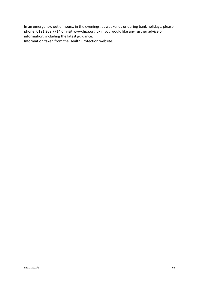In an emergency, out of hours; in the evenings, at weekends or during bank holidays, please phone: 0191 269 7714 or visit www.hpa.org.uk if you would like any further advice or information, including the latest guidance.

Information taken from the Health Protection website.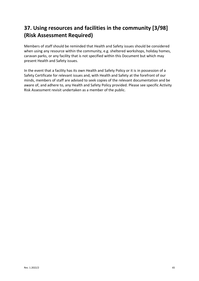# **37. Using resources and facilities in the community [3/98] (Risk Assessment Required)**

Members of staff should be reminded that Health and Safety issues should be considered when using any resource within the community, e.g. sheltered workshops, holiday homes, caravan parks, or any facility that is not specified within this Document but which may present Health and Safety issues.

In the event that a facility has its own Health and Safety Policy or it is in possession of a Safety Certificate for relevant issues and, with Health and Safety at the forefront of our minds, members of staff are advised to seek copies of the relevant documentation and be aware of, and adhere to, any Health and Safety Policy provided. Please see specific Activity Risk Assessment revisit undertaken as a member of the public.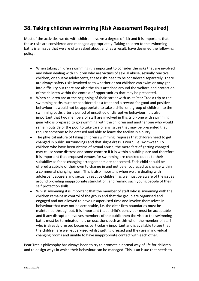### **38. Taking children swimming (Risk Assessment Required)**

Most of the activities we do with children involve a degree of risk and it is important that these risks are considered and managed appropriately. Taking children to the swimming baths is an issue that we are often asked about and, as a result, have designed the following policy:

- When taking children swimming it is important to consider the risks that are involved and when dealing with children who are victims of sexual abuse, sexually reactive children, or abusive adolescents, these risks need to be considered separately. There are always safety risks involved as to whether or not children can swim or may get into difficulty but there are also the risks attached around the welfare and protection of the children within the context of opportunities that may be presented.
- When children are at the beginning of their career with us at Pear Tree a trip to the swimming baths must be considered as a treat and a reward for good and positive behaviour. It would not be appropriate to take a child, or a group of children, to the swimming baths after a period of unsettled or disruptive behaviour. It is also important that two members of staff are involved in this trip - one with swimming gear who is prepared to go swimming with the children and another one who would remain outside of the pool to take care of any issues that may be presented that require someone to be dressed and able to leave the facility in a hurry.
- The physical nature of taking children swimming, requires that children need to get changed in public surroundings and that slight dress is worn, i.e. swimwear. To children who have been victims of sexual abuse, the mere fact of getting changed may cause some distress and some concern if it is within a public place and therefore it is important that proposed venues for swimming are checked out as to their suitability as far as changing arrangements are concerned. Each child should be offered a cubicle of their own to change in and not be encouraged to change within a communal changing room. This is also important when we are dealing with adolescent abusers and sexually reactive children, as we must be aware of the issues around providing inappropriate stimulation, and remind such young people of their self protection skills.
- Whilst swimming it is important that the member of staff who is swimming with the children remains in control of the group and that the group are organised and engaged and not allowed to have unsupervised time and involve themselves in behaviour that may not be acceptable, i.e. the clear firm boundaries must be maintained throughout. It is important that a child's behaviour must be acceptable and if any disruption involves members of the public then the visit to the swimming baths must be terminated. It is on occasions such as this when the member of staff who is already dressed becomes particularly important and is available to see that the children are well-supervised whilst getting dressed and they are in individual changing rooms and unable to have inappropriate contact with each other.

Pear Tree's philosophy has always been to try to promote a normal way of life for children and to design ways in which their behaviour can be managed. This is an issue that needs to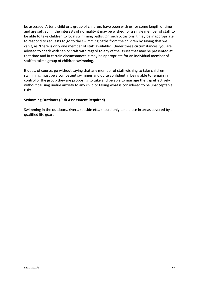be assessed. After a child or a group of children, have been with us for some length of time and are settled, in the interests of normality it may be wished for a single member of staff to be able to take children to local swimming baths. On such occasions it may be inappropriate to respond to requests to go to the swimming baths from the children by saying that we can't, as "there is only one member of staff available". Under these circumstances, you are advised to check with senior staff with regard to any of the issues that may be presented at that time and in certain circumstances it may be appropriate for an individual member of staff to take a group of children swimming.

It does, of course, go without saying that any member of staff wishing to take children swimming must be a competent swimmer and quite confident in being able to remain in control of the group they are proposing to take and be able to manage the trip effectively without causing undue anxiety to any child or taking what is considered to be unacceptable risks.

#### **Swimming Outdoors (Risk Assessment Required)**

Swimming in the outdoors, rivers, seaside etc., should only take place in areas covered by a qualified life guard.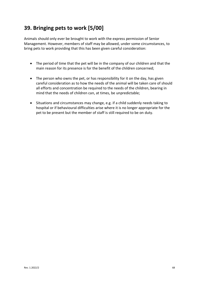# **39. Bringing pets to work [5/00]**

Animals should only ever be brought to work with the express permission of Senior Management. However, members of staff may be allowed, under some circumstances, to bring pets to work providing that this has been given careful consideration:

- The period of time that the pet will be in the company of our children and that the main reason for its presence is for the benefit of the children concerned;
- The person who owns the pet, or has responsibility for it on the day, has given careful consideration as to how the needs of the animal will be taken care of should all efforts and concentration be required to the needs of the children, bearing in mind that the needs of children can, at times, be unpredictable;
- Situations and circumstances may change, e.g. if a child suddenly needs taking to hospital or if behavioural difficulties arise where it is no longer appropriate for the pet to be present but the member of staff is still required to be on duty.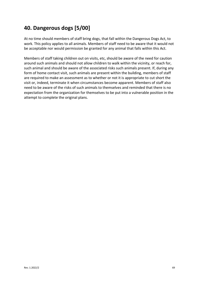# **40. Dangerous dogs [5/00]**

At no time should members of staff bring dogs, that fall within the Dangerous Dogs Act, to work. This policy applies to all animals. Members of staff need to be aware that it would not be acceptable nor would permission be granted for any animal that falls within this Act.

Members of staff taking children out on visits, etc, should be aware of the need for caution around such animals and should not allow children to walk within the vicinity, or reach for, such animal and should be aware of the associated risks such animals present. If, during any form of home contact visit, such animals are present within the building, members of staff are required to make an assessment as to whether or not it is appropriate to cut short the visit or, indeed, terminate it when circumstances become apparent. Members of staff also need to be aware of the risks of such animals to themselves and reminded that there is no expectation from the organization for themselves to be put into a vulnerable position in the attempt to complete the original plans.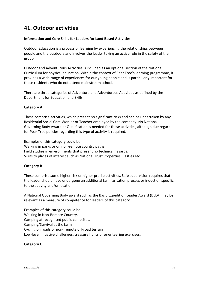### **41. Outdoor activities**

#### **Information and Core Skills for Leaders for Land Based Activities:**

Outdoor Education is a process of learning by experiencing the relationships between people and the outdoors and involves the leader taking an active role in the safety of the group.

Outdoor and Adventurous Activities is included as an optional section of the National Curriculum for physical education. Within the context of Pear Tree's learning programme, it provides a wide range of experiences for our young people and is particularly important for those residents who do not attend mainstream school.

There are three categories of Adventure and Adventurous Activities as defined by the Department for Education and Skills.

#### **Category A**

These comprise activities, which present no significant risks and can be undertaken by any Residential Social Care Worker or Teacher employed by the company. No National Governing Body Award or Qualification is needed for these activities, although due regard for Pear Tree policies regarding this type of activity is required.

Examples of this category could be: Walking in parks or on non-remote country paths. Field studies in environments that present no technical hazards. Visits to places of interest such as National Trust Properties, Castles etc.

#### **Category B**

These comprise some higher risk or higher profile activities. Safe supervision requires that the leader should have undergone an additional familiarisation process or induction specific to the activity and/or location.

A National Governing Body award such as the Basic Expedition Leader Award (BELA) may be relevant as a measure of competence for leaders of this category.

Examples of this category could be: Walking in Non-Remote Country. Camping at recognised public campsites. Camping/Survival at the farm Cycling on roads or non- remote off-road terrain Low-level initiative challenges, treasure hunts or orienteering exercises.

#### **Category C**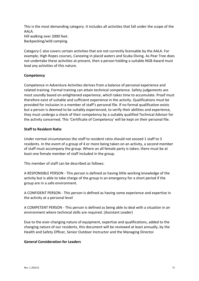This is the most demanding category. It includes all activities that fall under the scope of the AALA. Hill walking over 2000 feet. Backpacking/wild camping.

Category C also covers certain activities that are not currently licensable by the AALA. For example, High Ropes courses, Canoeing in placid waters and Scuba Diving. As Pear Tree does not undertake these activities at present, then a person holding a suitable NGB Award must lead any activities of this nature.

#### **Competency**

Competence in Adventure Activities derives from a balance of personal experience and related training. Formal training can attain technical competence. Safety judgements are most soundly based on enlightened experience, which takes time to accumulate. Proof must therefore exist of suitable and sufficient experience in the activity. Qualifications must be provided for inclusion in a member of staff's personal file. If no formal qualification exists but a person is deemed to be suitably experienced, to verify their abilities and experience, they must undergo a check of their competency by a suitably qualified Technical Advisor for the activity concerned. This 'Certificate of Competency' will be kept on their personal file.

#### **Staff to Resident Ratio**

Under normal circumstances the staff to resident ratio should not exceed 1 staff to 3 residents. In the event of a group of 4 or more being taken on an activity, a second member of staff must accompany the group. Where an all female party is taken, there must be at least one female member of staff included in the group.

This member of staff can be described as follows:

A RESPONSIBLE PERSON - This person is defined as having little working knowledge of the activity but is able to take charge of the group in an emergency for a short period if the group are in a safe environment.

A CONFIDENT PERSON - This person is defined as having some experience and expertise in the activity at a personal level

A COMPETENT PERSON - This person is defined as being able to deal with a situation in an environment where technical skills are required. (Assistant Leader)

Due to the ever-changing nature of equipment, expertise and qualifications, added to the changing nature of our residents, this document will be reviewed at least annually, by the Health and Safety Officer, Senior Outdoor Instructor and the Managing Director.

#### **General Consideration for Leaders**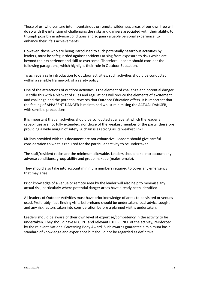Those of us, who venture into mountainous or remote wilderness areas of our own free will, do so with the intention of challenging the risks and dangers associated with their ability, to triumph possibly in adverse conditions and so gain valuable personal experience, to enhance their life's achievements.

However, those who are being introduced to such potentially hazardous activities by leaders, must be safeguarded against accidents arising from exposure to risks which are beyond their experience and skill to overcome. Therefore, leaders should consider the following paragraphs, which highlight their role in Outdoor Education.

To achieve a safe introduction to outdoor activities, such activities should be conducted within a sensible framework of a safety policy.

One of the attractions of outdoor activities is the element of challenge and potential danger. To stifle this with a blanket of rules and regulations will reduce the elements of excitement and challenge and the potential rewards that Outdoor Education offers. It is important that the feeling of APPARENT DANGER is maintained whilst minimising the ACTUAL DANGER, with sensible precautions.

It is important that all activities should be conducted at a level at which the leader's capabilities are not fully extended, nor those of the weakest member of the party, therefore providing a wide margin of safety. A chain is as strong as its weakest link!

Kit lists provided with this document are not exhaustive. Leaders should give careful consideration to what is required for the particular activity to be undertaken.

The staff/resident ratios are the minimum allowable. Leaders should take into account any adverse conditions, group ability and group makeup (male/female).

They should also take into account minimum numbers required to cover any emergency that may arise.

Prior knowledge of a venue or remote area by the leader will also help to minimise any actual risk, particularly where potential danger areas have already been identified.

All leaders of Outdoor Activities must have prior knowledge of areas to be visited or venues used. Preferably, fact-finding visits beforehand should be undertaken, local advice sought and any risk factors taken into consideration before a planned visit is undertaken.

Leaders should be aware of their own level of expertise/competency in the activity to be undertaken. They should have RECENT and relevant EXPERIENCE of the activity, reinforced by the relevant National Governing Body Award. Such awards guarantee a minimum basic standard of knowledge and experience but should not be regarded as definitive.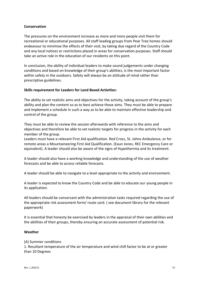### **Conservation**

The pressures on the environment increase as more and more people visit them for recreational or educational purposes. All staff leading groups from Pear Tree homes should endeavour to minimise the effects of their visit, by taking due regard of the Country Code and any local notices or restrictions placed in areas for conservation purposes. Staff should take an active role in the education of our residents on this point.

In conclusion, the ability of individual leaders to make sound judgements under changing conditions and based on knowledge of their group's abilities, is the most important factor within safety in the outdoors. Safety will always be an attitude of mind rather than prescriptive guidelines.

### **Skills requirement for Leaders for Land Based Activities:**

The ability to set realistic aims and objectives for the activity, taking account of the group's ability and plan the content so as to best achieve those aims. They must be able to prepare and implement a schedule in such a way as to be able to maintain effective leadership and control of the group.

They must be able to review the session afterwards with reference to the aims and objectives and therefore be able to set realistic targets for progress in the activity for each member of the group.

Leaders must have a relevant First Aid qualification. Red Cross, St. Johns Ambulance, or for remote areas a Mountaineering First Aid Qualification. (Eaun Jones, REC Emergency Care or equivalent). A leader should also be aware of the signs of Hypothermia and its treatment.

A leader should also have a working knowledge and understanding of the use of weather forecasts and be able to access reliable forecasts.

A leader should be able to navigate to a level appropriate to the activity and environment.

A leader is expected to know the Country Code and be able to educate our young people in its application.

All leaders should be conversant with the administration tasks required regarding the use of the appropriate risk assessment form/ route card. ( see document library for the relevant paperwork)

It is essential that honesty be exercised by leaders in the appraisal of their own abilities and the abilities of their groups, thereby ensuring an accurate assessment of potential risk.

### **Weather**

### (A) Summer conditions

1. Resultant temperature of the air temperature and wind chill factor to be at or greater than 10 Degrees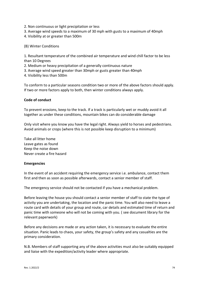- 2. Non continuous or light precipitation or less
- 3. Average wind speeds to a maximum of 30 mph with gusts to a maximum of 40mph
- 4. Visibility at or greater than 500m

(B) Winter Conditions

1. Resultant temperature of the combined air temperature and wind chill factor to be less than 10 Degrees

- 2. Medium or heavy precipitation of a generally continuous nature
- 3. Average wind speed greater than 30mph or gusts greater than 40mph
- 4. Visibility less than 500m

To conform to a particular seasons condition two or more of the above factors should apply. If two or more factors apply to both, then winter conditions always apply.

### **Code of conduct**

To prevent erosions, keep to the track. If a track is particularly wet or muddy avoid it all together as under these conditions, mountain bikes can do considerable damage

Only visit where you know you have the legal right. Always yield to horses and pedestrians. Avoid animals or crops (where this is not possible keep disruption to a minimum)

Take all litter home Leave gates as found Keep the noise down Never create a fire hazard

### **Emergencies**

In the event of an accident requiring the emergency service i.e. ambulance, contact them first and then as soon as possible afterwards, contact a senior member of staff.

The emergency service should not be contacted if you have a mechanical problem.

Before leaving the house you should contact a senior member of staff to state the type of activity you are undertaking, the location and the panic time. You will also need to leave a route card with details of your group and route, car details and estimated time of return and panic time with someone who will not be coming with you. ( see document library for the relevant paperwork)

Before any decisions are made or any action taken, it is necessary to evaluate the entire situation. Panic leads to chaos, your safety, the group's safety and any casualties are the primary consideration.

N.B. Members of staff supporting any of the above activities must also be suitably equipped and liaise with the expedition/activity leader where appropriate.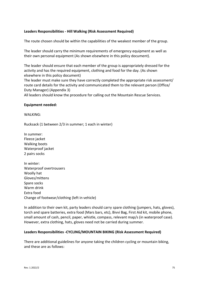### **Leaders Responsibilities - Hill Walking (Risk Assessment Required)**

The route chosen should be within the capabilities of the weakest member of the group.

The leader should carry the minimum requirements of emergency equipment as well as their own personal equipment (As shown elsewhere in this policy document).

The leader should ensure that each member of the group is appropriately dressed for the activity and has the required equipment, clothing and food for the day. (As shown elsewhere in this policy document)

The leader must make sure they have correctly completed the appropriate risk assessment/ route card details for the activity and communicated them to the relevant person (Office/ Duty Manager) (Appendix 3)

All leaders should know the procedure for calling out the Mountain Rescue Services.

### **Equipment needed:**

WAI KING:

Rucksack (1 between 2/3 in summer; 1 each in winter)

In summer: Fleece jacket Walking boots Waterproof jacket 2 pairs socks

In winter: Waterproof overtrousers Woolly hat Gloves/mittens Spare socks Warm drink Extra food Change of footwear/clothing (left in vehicle)

In addition to their own kit, party leaders should carry spare clothing (jumpers, hats, gloves), torch and spare batteries, extra food (Mars bars, etc), Bivvi Bag, First Aid kit, mobile phone, small amount of cash, pencil, paper, whistle, compass, relevant map/s (in waterproof case). However, extra clothing, hats, gloves need not be carried during summer.

### **Leaders Responsibilities -CYCLING/MOUNTAIN BIKING (Risk Assessment Required)**

There are additional guidelines for anyone taking the children cycling or mountain biking, and these are as follows: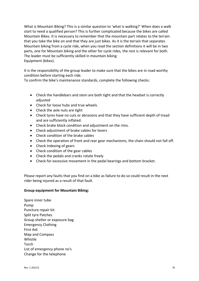What is Mountain Biking? This is a similar question to 'what is walking?' When does a walk start to need a qualified person? This is further complicated because the bikes are called Mountain Bikes. It is necessary to remember that the mountain part relates to the terrain that you take the bike on and that they are just bikes. As it is the terrain that separates Mountain biking from a cycle ride, when you read the section definitions it will be in two parts, one for Mountain biking and the other for cycle rides, the rest is relevant for both. The leader must be sufficiently skilled in mountain biking Equipment (bikes).

It is the responsibility of the group leader to make sure that the bikes are in road worthy condition before starting each ride.

To confirm the bike's maintenance standards, complete the following checks:

- Check the handlebars and stem are both tight and that the headset is correctly adiusted
- Check for loose hubs and true wheels.
- Check the axle nuts are tight
- Check tyres have no cuts or abrasions and that they have sufficient depth of tread and are sufficiently inflated.
- Check brake block condition and adjustment on the rims.
- Check adjustment of brake cables for levers
- Check condition of the brake cables
- Check the operation of front and rear gear mechanisms, the chain should not fall off.
- Check Indexing of gears
- Check condition of the gear cables
- Check the pedals and cranks rotate freely
- Check for excessive movement in the pedal bearings and bottom bracket.

Please report any faults that you find on a bike as failure to do so could result in the next rider being injured as a result of that fault.

## **Group equipment for Mountain Biking:**

Spare inner tube Pump Puncture repair kit Split tyre Patches Group shelter or exposure bag Emergency Clothing First Aid Map and Compass Whistle Torch List of emergency phone no's Change for the telephone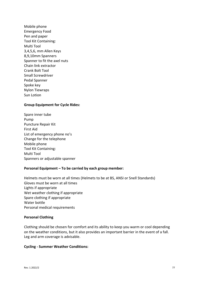Mobile phone Emergency Food Pen and paper Tool Kit Containing: Multi Tool 3,4,5,6, mm Allen Keys 8,9,10mm Spanners Spanner to fit the axel nuts Chain link extractor Crank Bolt Tool Small Screwdriver Pedal Spanner Spoke key Nylon Tiewraps Sun Lotion

### **Group Equipment for Cycle Rides:**

Spare inner tube Pump Puncture Repair Kit First Aid List of emergency phone no's Change for the telephone Mobile phone Tool Kit Containing: Multi Tool Spanners or adjustable spanner

### **Personal Equipment – To be carried by each group member:**

Helmets must be worn at all times (Helmets to be at BS, ANSI or Snell Standards) Gloves must be worn at all times Lights if appropriate Wet weather clothing if appropriate Spare clothing if appropriate Water bottle Personal medical requirements

### **Personal Clothing**

Clothing should be chosen for comfort and its ability to keep you warm or cool depending on the weather conditions, but it also provides an important barrier in the event of a fall. Leg and arm coverage is advisable.

#### **Cycling - Summer Weather Conditions:**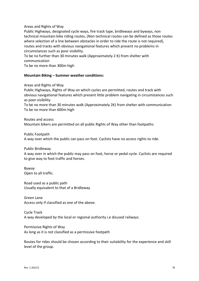### Areas and Rights of Way

Public Highways, designated cycle ways, fire track type, bridleways and byways, non technical mountain bike riding routes, (Non technical routes can be defined as those routes where selection of a line between obstacles in order to ride the route is not required), routes and tracks with obvious navigational features which present no problems in circumstances such as poor visibility.

To be no further than 30 minutes walk (Approximately 2 K) from shelter with communication

To be no more than 300m high

### **Mountain Biking – Summer weather conditions:**

Areas and Rights of Way

Public Highways, Rights of Way on which cycles are permitted, routes and track with obvious navigational features which present little problem navigating in circumstances such as poor visibility.

To be no more than 30 minutes walk (Approximately 2K) from shelter with communication To be no more than 600m high

Routes and access Mountain bikers are permitted on all public Rights of Way other than footpaths:

Public Footpath

A way over which the public can pass on foot. Cyclists have no access rights to ride.

Public Bridleway

A way over in which the public may pass on foot, horse or pedal cycle. Cyclists are required to give way to foot traffic and horses.

Byway Open to all traffic.

Road used as a public path Usually equivalent to that of a Bridleway

Green Lane Access only if classified as one of the above.

Cycle Track A way developed by the local or regional authority i.e disused railways.

Permissive Rights of Way As long as it is not classified as a permissive footpath

Routes for rides should be chosen according to their suitability for the experience and skill level of the group.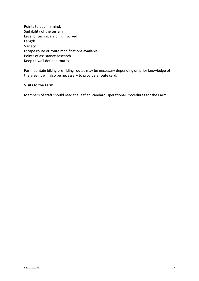Points to bear in mind: Suitability of the terrain Level of technical riding involved Length Variety Escape route or route modifications available Points of assistance research Keep to well defined routes

For mountain biking pre-riding routes may be necessary depending on prior knowledge of the area. It will also be necessary to provide a route card.

#### **Visits to the Farm**

Members of staff should read the leaflet Standard Operational Procedures for the Farm.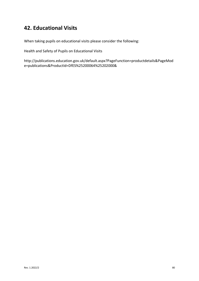# **42. Educational Visits**

When taking pupils on educational visits please consider the following:

Health and Safety of Pupils on Educational Visits

http://publications.education.gov.uk/default.aspx?PageFunction=productdetails&PageMod e=publications&ProductId=DfES%25200064%25202000&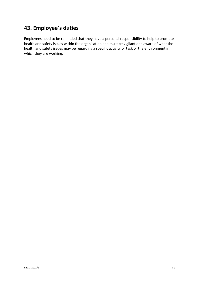# **43. Employee's duties**

Employees need to be reminded that they have a personal responsibility to help to promote health and safety issues within the organisation and must be vigilant and aware of what the health and safety issues may be regarding a specific activity or task or the environment in which they are working.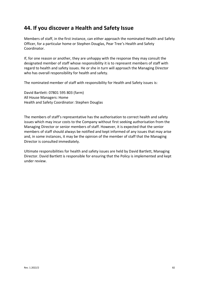## **44. If you discover a Health and Safety Issue**

Members of staff, in the first instance, can either approach the nominated Health and Safety Officer, for a particular home or Stephen Douglas, Pear Tree's Health and Safety Coordinator.

If, for one reason or another, they are unhappy with the response they may consult the designated member of staff whose responsibility it is to represent members of staff with regard to health and safety issues. He or she in turn will approach the Managing Director who has overall responsibility for health and safety.

The nominated member of staff with responsibility for Health and Safety issues is:

David Bartlett: 07801 595 803 (farm) All House Managers: Home Health and Safety Coordinator: Stephen Douglas

The members of staff's representative has the authorisation to correct health and safety issues which may incur costs to the Company without first seeking authorisation from the Managing Director or senior members of staff. However, it is expected that the senior members of staff should always be notified and kept informed of any issues that may arise and, in some instances, it may be the opinion of the member of staff that the Managing Director is consulted immediately.

Ultimate responsibilities for health and safety issues are held by David Bartlett, Managing Director. David Bartlett is responsible for ensuring that the Policy is implemented and kept under review.